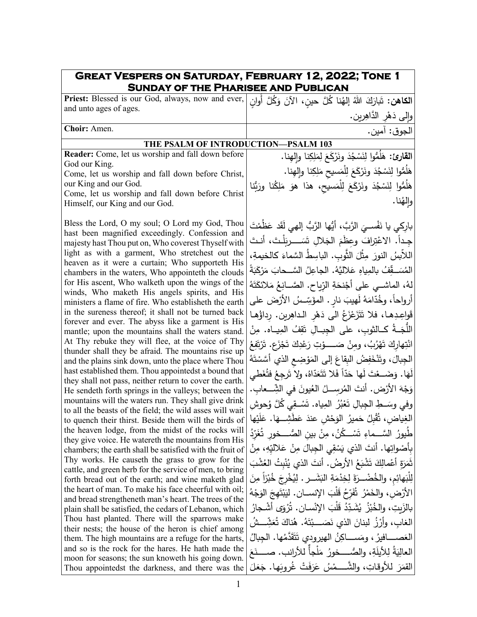## **Great Vespers on Saturday, February 12, 2022; Tone 1 Sunday of the Pharisee and Publican**

**الكاهن:** تَبارَكَ اللهُ إلهُنا كُلَّ حينٍ، الآنَ وَكُلَّ أُوانٍ وإِلى دَهْرِ الدَّاهِرين. ا<br>أ **Priest:** Blessed is our God, always, now and ever, and unto ages of ages. الجوق: آمین. .Amen **:Choir**

## **THE PSALM OF INTRODUCTION—PSALM 103**

**Reader:** Come, let us worship and fall down before God our King. Come, let us worship and fall down before Christ, our King and our God. Come, let us worship and fall down before Christ Himself, our King and our God.

Bless the Lord, O my soul; O Lord my God, Thou hast been magnified exceedingly. Confession and majesty hast Thou put on, Who coverest Thyself with light as with a garment, Who stretchest out the heaven as it were a curtain; Who supporteth His chambers in the waters, Who appointeth the clouds for His ascent, Who walketh upon the wings of the winds, Who maketh His angels spirits, and His ministers a flame of fire. Who establisheth the earth in the sureness thereof; it shall not be turned back forever and ever. The abyss like a garment is His mantle; upon the mountains shall the waters stand. At Thy rebuke they will flee, at the voice of Thy thunder shall they be afraid. The mountains rise up and the plains sink down, unto the place where Thou hast established them. Thou appointedst a bound that they shall not pass, neither return to cover the earth. He sendeth forth springs in the valleys; between the mountains will the waters run. They shall give drink to all the beasts of the field; the wild asses will wait to quench their thirst. Beside them will the birds of the heaven lodge, from the midst of the rocks will they give voice. He watereth the mountains from His chambers; the earth shall be satisfied with the fruit of Thy works. He causeth the grass to grow for the cattle, and green herb for the service of men, to bring forth bread out of the earth; and wine maketh glad the heart of man. To make his face cheerful with oil; and bread strengtheneth man's heart. The trees of the plain shall be satisfied, the cedars of Lebanon, which Thou hast planted. There will the sparrows make their nests; the house of the heron is chief among them. The high mountains are a refuge for the harts, and so is the rock for the hares. He hath made the moon for seasons; the sun knoweth his going down. Thou appointedst the darkness, and there was the

ا**لقارئ:** هَلُمُّوا لِنَسْجُدَ ونَرْكَعَ لِمَلِكِنا وإِلمِنا.<br>' هَلُمُّوا لِنَسْجُدَ ونَرْكَعَ لِلْمَسيحِ مَلِكِنا وإِلمِنا. َ هَلُمُّوا لِنَسْجُدَ ونَرْكَعَ لِلْمَسيحِ، هذا هوَ مَلِكُنا ورَبُّنا | وإلهُنا.

بارِكي يا نَفْســيَ الرَّبَّ، أَيُّها الرَّبُّ إلهي لَقَد عَظَمْتَ<br>مَسَعَمَّةٍ المَدْسُونِينَ مَسَوْدَ الصَّارِيُّةِ الْمَسَوْدَ جِداً. الاعْتِرافَ وعِظَمَ الجَلالِ تَسَــــربَلْتَ، أنـتَ<br>مَدَّ مِنْ الشَّاسِ اللاّبسُ النورَ مِثْلَ الثَّوبِ. الباسِطُ السَّماءَ كالخيمةِ،<br>اللّهَ يَسْمَدُ اللّهَ عَلَيْهِ مِنْ اللّهَ عَلَيْهِ مِنْ اللّهِ اللّهَ عَلَيْهِ مِنْ الْمَسْمَةِ الْمَسْمَةِ المُسَـــقِّفُ بالمِياهِ عَلاليَّهُ. الجاعِلُ السَّــحابَ مَرْكَبَةً<br>. لهُ، الماشــي على أَجْنحَةِ الرِّياحِ. الصَّــانِعُ مَلائكَتَهُ<br>وَ أرواحاً، وخُدّامَهُ لَهيبَ نارٍ . المؤَسِّسُ الأَرْضَ على |<br>ِ قَواعِدِها، فلا تَتَزَعْزَعُ الى دَهْرِ الداهِرين. رِداؤُها | <u>ة</u> <u>ّ</u> اللَّجَــةُ كــالثوبِ، على الجِبــالِ تَقِفُ المِيــاه. مِنْ انْتِهارِكَ تَهْرُبُ، ومِنْ صَـــــوْتِ رَعْدِكَ تَجْزَع. تَرْتَفِعُ<br>. .<br>ا ْ الْجِبالَ، وتَنْخَفِضُ البِقاعَ إلى المَوْضِعِ الذي أَسَّسْتَهُ لَهَا. وَضَـــعْتَ لَها حَدّاً فَلا تَتَعَدّاهُ، ولا تَرجِعُ فتُغَطي | وَجْهَ الأَرْضِ. أنتَ المُرسِـــلُ العُيونَ في الشِّـــعابِ. |<br>-وفي وسَـــطِ الـجِبالِ تَعْبُرُ المِياه. تَسْــقِي كُلَّ وُحوشِ<br>م ْ الغِياضِ، تُقْبِلُ حَميرُ الوَحْشِ عندَ عَطَشِـــهَا. عَلَيْها |<br>مُسْتَحْمَدِ اللهُ عَميرُ اللهُ عَلَيْها | طُيورُ السَّــماءِ تَسْــكُنُ، مِنْ بينِ الصُّـــخورِ تُغَرِّدُ<br>-<u>ّ</u> بِأَصْواتِها. أنتَ الذي يَسْقِي الْجِبالَ مِنْ عَلاليِّهِ، مِنْ ثَمَرَةِ أَعْمالِكَ تَشْبَعُ الأرضُ. أنتَ الذي يُنْبِتُ الغُشْبَ<br>\* <u>َ</u> َ َ ِن ً م ْزا ُب َ خ ُ ْخِرج �ِ َشـــــــ َ ر. ل ِ ال� َة ْم ِ ِخد َ ل ة َ ُضـــــــ ْ رِ ِم، والخ َهائ ْلب ِ ل الأَرْضِ، والخَمْرُ ثُقَرِّحُ قَلْبَ الإِنســـان. ليَبْتَهِجَ الوَجْهُ<br>. .<br>. ُ َى أشــ ْ جار ْ و ُر ْســان. ت َ الإن َْلب ُ ق ِد ّ ُشــ َ د � ُ ْز ُب َ ِ �ت، والخ �الز الغابِ، وأرْزُ لبنانَ الذي نَصَـــبْتَهُ. هُناكَ تُعَشِّـــشُ ْ ـ)<br>ا ُ ِ ها. الج�ال ََّدم َق َت ُ الهیرودي ت ِن َســــــــــاك ُ ، وم َصــــــــــافیر الع العالِيَةُ لِلأَيلَةِ، والصُّـــخورُ مَلْجأٌ للأرانب. صــــنَعَ القمَرَ للأوقاتِ، والشَّـــــمْسُ عَرَفَتْ غُروبَها. جَعَلَ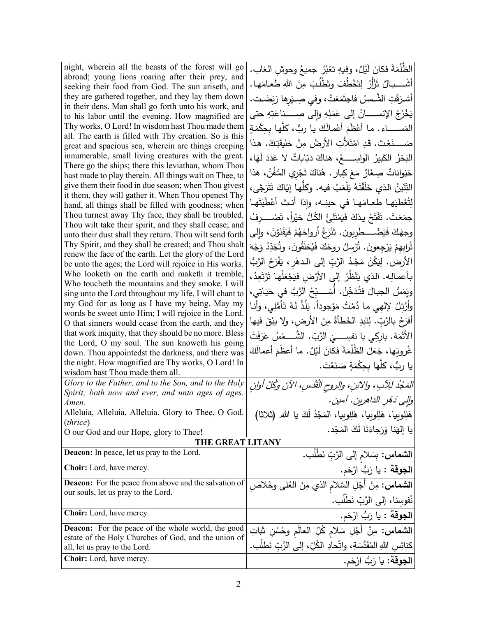| night, wherein all the beasts of the forest will go                                                           | الظُّلْمَةَ فكانَ لَيْلٌ، وفيهِ تعْبُرُ جميعُ وحوشِ الغاب.             |
|---------------------------------------------------------------------------------------------------------------|------------------------------------------------------------------------|
| abroad; young lions roaring after their prey, and<br>seeking their food from God. The sun ariseth, and        | أَشْـــــبالٌ تَزْأَرُ لِتَخْطُفَ وتَطْلُبَ مِنَ اللهِ طَعـامَهـا.     |
| they are gathered together, and they lay them down                                                            |                                                                        |
| in their dens. Man shall go forth unto his work, and                                                          | أشرَقَتِ الشَّمسُ فاجتَمَعَتْ، وفي صِـيَرها رَبَضَـت.                  |
| to his labor until the evening. How magnified are                                                             | يَخْرُجُ الإِنســـــانُ إِلَى عَمَلِهِ وإِلَى صِـــــناعَتِهِ حتى      |
| Thy works, O Lord! In wisdom hast Thou made them                                                              | المَســـــــاء. مـا أَعْظَمَ أَعْمـالَكَ يـا ربُّ، كلَّها بِحِكْمَةٍ   |
| all. The earth is filled with Thy creation. So is this                                                        | صَــــــنَعْتَ. قَدِ امْتَلأَتِ الأَرضُ مِنْ خَليقَتِكَ. هذا           |
| great and spacious sea, wherein are things creeping                                                           |                                                                        |
| innumerable, small living creatures with the great.<br>There go the ships; there this leviathan, whom Thou    | البَحْرُ الكَبِيرُ الواسِــــــعُ، هناكَ دَبّاباتٌ لا عَدَدَ لَهَا،    |
| hast made to play therein. All things wait on Thee, to                                                        | حَيَواناتٌ صِغَارٌ مَعَ كِبارٍ . هُناكَ تَجْرِي السُّفُنُ، هذا         |
| give them their food in due season; when Thou givest                                                          | التِّنّينُ الذي خَلَقْتَهُ يَلْعَبُ فيه. وكلّها إيّاكَ تَتَرَجَّى،     |
| it them, they will gather it. When Thou openest Thy                                                           |                                                                        |
| hand, all things shall be filled with goodness; when                                                          | لِتُعْطِيَهِا طعامَها في حينِه، وإذا أنتَ أَعْطَيْتَها                 |
| Thou turnest away Thy face, they shall be troubled.<br>Thou wilt take their spirit, and they shall cease; and | جمَعَتْ. تَفْتَحُ يدَكَ فَيَمْتَلِئُ الكُلُّ خيْراً، تَصْـــــرفُ      |
| unto their dust shall they return. Thou wilt send forth                                                       | وجهَكَ فَيَضْــــطّْرِبون. تَنْزِعُ أَرواحَهُمْ فَيَفْنَوْنَ، وإلى     |
| Thy Spirit, and they shall be created; and Thou shalt                                                         | تُرابِهِمْ يَرْجِعونَ. تُرْسِلُ روحَكَ فَيُخلَقُونَ، وتُجَدِّدُ وَجْهَ |
| renew the face of the earth. Let the glory of the Lord                                                        |                                                                        |
| be unto the ages; the Lord will rejoice in His works.                                                         | الأرض. لِيَكُنْ مَجْدُ الرَّبِّ إلى الـدهْرِ ، يَفْرَحُ الرَّبُّ       |
| Who looketh on the earth and maketh it tremble,<br>Who toucheth the mountains and they smoke. I will          | بأعمالِه. الذي يَنْظُرُ إلى الأَرْضِ فيَجْعَلُها تَرْتَعِدُ،           |
| sing unto the Lord throughout my life, I will chant to                                                        | ويَمَسُّ الجبالَ فتُدَخِّنُ. أَسَـــبِّحُ الرَّبَّ في حَيَاتِي،        |
| my God for as long as I have my being. May my                                                                 | وأَرَّتِلُ لِإلهِي ما دُمْتُ مَوْجوداً. يَلَّذُ لَهُ تَأْمُلِي، وأنا   |
| words be sweet unto Him; I will rejoice in the Lord.                                                          |                                                                        |
| O that sinners would cease from the earth, and they                                                           | أَفْرَحُ بِالرَّبِّ. لِتَبِدِ الْخَطَأَةُ مِنَ الأَرضِ، ولا يبْقَ فيها |
| that work iniquity, that they should be no more. Bless                                                        | الأَثْمَة. بارِكِي يا نفسِــــيَ الرَّبّ. الشَّــــمْسُ عَرَفَتْ       |
| the Lord, O my soul. The sun knoweth his going<br>down. Thou appointedst the darkness, and there was          | غُروبَها، جَعَلَ الظُلْمَةَ فكانَ لَيْلٌ. ما أعظَمَ أعمالَكَ           |
| the night. How magnified are Thy works, O Lord! In                                                            |                                                                        |
| wisdom hast Thou made them all.                                                                               | يا ربُ، كلّها بحِكْمَةٍ صَنَعْتَ.                                      |
| Glory to the Father, and to the Son, and to the Holy                                                          | المَجْدُ للِآبِ، والآبنِ، والروحِ الْقُدُسِ، الآنَ وكُلَّ أُوانِ       |
| Spirit; both now and ever, and unto ages of ages.                                                             | والِي دَهُرِ الداهرِينِ. آمينِ.                                        |
| Amen.<br>Alleluia, Alleluia, Alleluia. Glory to Thee, O God.                                                  |                                                                        |
| ( <i>thrice</i> )                                                                                             | هَلِلوبِيا، هَلِلوبِيا، هَلِلوبِيا، المَجْدُ لَكَ يا الله. (ثلاثا)     |
| O our God and our Hope, glory to Thee!                                                                        | يا إلهَنا وَرَجاءَنَا لَكَ الْمَجْد.                                   |
| <b>THE GREAT LITANY</b>                                                                                       |                                                                        |
| Deacon: In peace, let us pray to the Lord.                                                                    | ا <b>لشماس:</b> بِسَلام إلى الرَّبِّ نَطْلُب.                          |
| <b>Choir:</b> Lord, have mercy.                                                                               | ا <b>لجوقة</b> : يا رَبُّ ارْحَم.                                      |
| Deacon: For the peace from above and the salvation of                                                         | <b>الشماس:</b> مِنْ أَجْلِ السَّلام الذي مِنَ العُلمي وخَلاصِ          |
| our souls, let us pray to the Lord.                                                                           | نُفوسِنا، إلى الرَّبِّ نَطْلُب.                                        |
|                                                                                                               |                                                                        |
| <b>Choir:</b> Lord, have mercy.                                                                               | ا <b>لجوقة</b> : يا رَبُّ ارْحَم.                                      |
| <b>Deacon:</b> For the peace of the whole world, the good                                                     | ا <b>لشماس:</b> مِنْ أَجْلِ سَلام كُلِّ العالَم وحُسْنِ شَاتِ          |
| estate of the Holy Churches of God, and the union of<br>all, let us pray to the Lord.                         | كنائِس اللهِ المُقَدَّسَةِ، واتِّحادِ الكُلِّ، إلى الرَّبِّ نَطلُب.    |
| Choir: Lord, have mercy.                                                                                      | ا <b>لجوقة:</b> يا رَبُّ ارْحَم.                                       |
|                                                                                                               |                                                                        |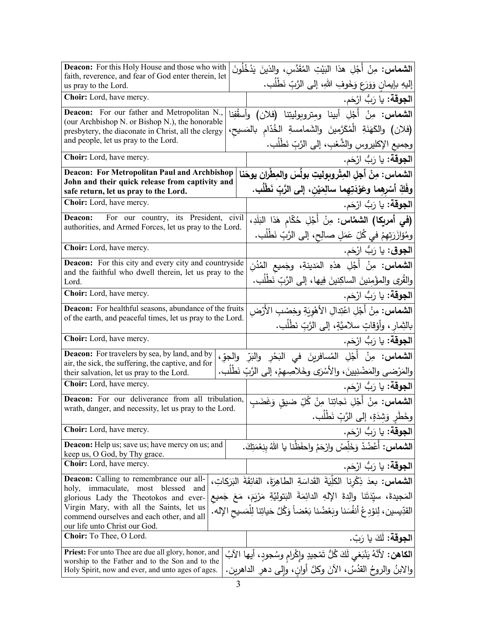| <b>Deacon:</b> For this Holy House and those who with<br>faith, reverence, and fear of God enter therein, let |  | <b>الشماس:</b> مِنْ أَجْلِ هذا ال <sub>ْبَيْتِ الْمُقَدَّس، والذينَ يَدْخُلُونَ</sub>   |
|---------------------------------------------------------------------------------------------------------------|--|-----------------------------------------------------------------------------------------|
| us pray to the Lord.                                                                                          |  | إليهِ بإيمانٍ وَوَرَعٍ وَخَوفِ اللهِ، إلى الرَّبِّ نَطْلُبٍ.                            |
| Choir: Lord, have mercy.                                                                                      |  | ا <b>لجوقة:</b> يا رَبُّ ارْحَم.                                                        |
| Deacon: For our father and Metropolitan N.,                                                                   |  | <b>الشماس:</b> مِنْ أَجْلِ أبينا ومتروبوليتِنا (فلان) وأسقُفِنا                         |
| (our Archbishop N. or Bishop N.), the honorable<br>presbytery, the diaconate in Christ, all the clergy        |  | (فلان) والكَهَنَةِ الْمُكَرَّمينَ والشَمامسةِ الخُدّامِ بالمَسيحِ،                      |
| and people, let us pray to the Lord.                                                                          |  | وجميع الإكليروسِ والشَّعْبِ، إلى الرَّبِّ نَطْلُب.                                      |
| Choir: Lord, have mercy.                                                                                      |  | ا <b>لجوقة:</b> يا رَبُّ ارْحَم.                                                        |
| <b>Deacon: For Metropolitan Paul and Archbishop</b>                                                           |  | الشماس: مِنْ أجلِ المِتْروبوليتِ بولُسَ والمِطْرانِ يوحَنا                              |
| John and their quick release from captivity and<br>safe return, let us pray to the Lord.                      |  | وفَكِّ أسْرِهِما وعَوْدَتِهِما سالِمَيْنِ، إلى الرَّبِّ نَطْلُب.                        |
| Choir: Lord, have mercy.                                                                                      |  | ا <b>لجوقة:</b> يا رَبُّ ارْحَم.                                                        |
| For our country, its President, civil<br>Deacon:                                                              |  | (في أمريكا) الشمَّاس: مِنْ أَجْلِ حُكَّام هَذا البَلَدِ،                                |
| authorities, and Armed Forces, let us pray to the Lord.                                                       |  | ومُؤازَرَتِهِمْ في كُلِّ عَمَلٍ صالِحٍ، إلى الرَّبِّ نَطْلُب.                           |
| Choir: Lord, have mercy.                                                                                      |  | ا <b>لجوق</b> : يا رَبُّ ارْحَم.                                                        |
| <b>Deacon:</b> For this city and every city and countryside                                                   |  | <b>الشماس:</b> مِنْ أَجْلِ هذهِ المَدينةِ، وجَميع المُدُنِ                              |
| and the faithful who dwell therein, let us pray to the<br>Lord.                                               |  | والقُرى والمؤْمِنينَ الساكِنينَ فِيها، إلى الرَّبِّ نَطْلُب.                            |
| Choir: Lord, have mercy.                                                                                      |  | ا <b>لجوقة:</b> يا رَبُّ ارْحَم.                                                        |
| <b>Deacon:</b> For healthful seasons, abundance of the fruits                                                 |  | ا <b>لشماس:</b> مِنْ أَجْلِ اعْتِدالِ الأَهْوِيَةِ وخِصْبِ الأَرْضِ                     |
| of the earth, and peaceful times, let us pray to the Lord.                                                    |  | بالثِمارِ ، وأَوْقاتٍ سلاميَّةٍ، إلى الرَّبِّ نَطْلُبٍ.                                 |
| Choir: Lord, have mercy.                                                                                      |  | ا <b>لجوقة:</b> يا رَبُّ ارْحَم.                                                        |
| <b>Deacon:</b> For travelers by sea, by land, and by<br>air, the sick, the suffering, the captive, and for    |  | ا <b>لشماس:</b> مِنْ أَجْلِ المُسافرينَ في البَحْرِ والبَرِّ والجوِّ،                   |
| their salvation, let us pray to the Lord.                                                                     |  | والمَرْضى والمَضْنِيينَ، والأَسْرَى وخَلاصِهِمْ، إلى الرَّبِّ نَطْلُب.                  |
| Choir: Lord, have mercy.                                                                                      |  | ا <b>لجوقة:</b> يا رَبُّ ارْحَم.                                                        |
| Deacon: For our deliverance from all tribulation,                                                             |  | ا <b>لشماس:</b> مِنْ أَجْلِ نَجاتِنا مِنْ كُلِّ ضيق وَغَضَبِ                            |
| wrath, danger, and necessity, let us pray to the Lord                                                         |  | وخَطْرِ وَشِدَةٍ، إلى الرَّبِّ نَطْلَب.                                                 |
| <b>Choir:</b> Lord, have mercy.                                                                               |  | ا <b>لجوقة:</b> يا رَبُّ ارْحَم.                                                        |
| <b>Deacon:</b> Help us; save us; have mercy on us; and                                                        |  | ا <b>لشماس:</b> أَعْضُدْ وَخَلِّصْ وارْحَمْ واحفَظْنا يا اللهُ بنِعْمَتِكَ.             |
| keep us, O God, by Thy grace.<br><b>Choir:</b> Lord, have mercy.                                              |  | ا <b>لجوقة:</b> يا رَبُّ ارْحَم.                                                        |
| <b>Deacon:</b> Calling to remembrance our all-                                                                |  | الشماس: بعدَ ذِكْرِنا الكلِّيَةَ القَداسَةِ الطاهِرَةَ، الفائِقَةَ البَرَكاتِ،          |
| holy, immaculate, most blessed<br>and                                                                         |  |                                                                                         |
| glorious Lady the Theotokos and ever-<br>Virgin Mary, with all the Saints, let us                             |  | الْمَجِيدةَ، سيِّدَتَنا والِدةَ الإِلْهِ الْدائِمَةَ الْبَتوليَّةِ مَرْيَمَ، مَعَ جَميع |
| commend ourselves and each other, and all                                                                     |  | القدِّيسين، لِنوْدِعْ أَنفُسَنا وبَعْضُنا بَعْضاً وَكُلَّ حَياتِنا لِلْمَسيحِ الإله.    |
| our life unto Christ our God.                                                                                 |  |                                                                                         |
| Choir: To Thee, O Lord.                                                                                       |  | ا <b>لجوقة:</b> لَكَ يا رَبّ.                                                           |
| <b>Priest:</b> For unto Thee are due all glory, honor, and<br>worship to the Father and to the Son and to the |  | ا <b>لكاهن:</b> لأنَّهُ يَنْبَغي لَكَ كُلُّ تَمْجِيدِ وإِكْرامِ وسُجودٍ، أيها الآبُ     |
| Holy Spirit, now and ever, and unto ages of ages.                                                             |  | والابنُ والروحُ القدُسُ، الآنَ وكلَّ أوان، وإلى دهر الداهرين.                           |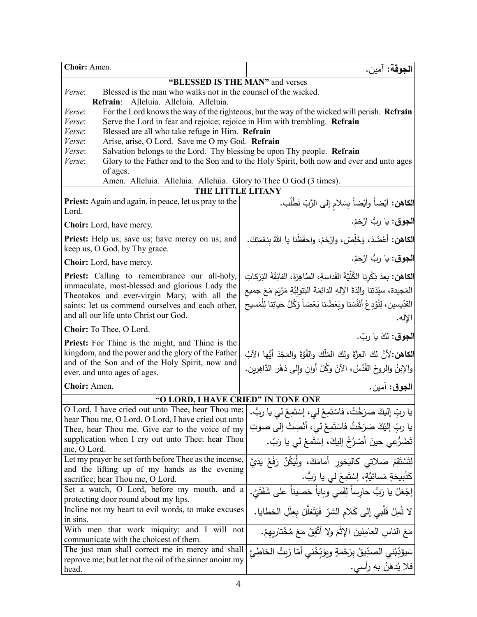| Choir: Amen.                                                                                                | الجوقة: آمين.                                                                               |
|-------------------------------------------------------------------------------------------------------------|---------------------------------------------------------------------------------------------|
| "BLESSED IS THE MAN" and verses<br>Blessed is the man who walks not in the counsel of the wicked.<br>Verse: |                                                                                             |
| Refrain: Alleluia. Alleluia. Alleluia.                                                                      |                                                                                             |
| <i>Verse:</i>                                                                                               | For the Lord knows the way of the righteous, but the way of the wicked will perish. Refrain |
| Serve the Lord in fear and rejoice; rejoice in Him with trembling. Refrain<br>Verse:                        |                                                                                             |
| Blessed are all who take refuge in Him. Refrain<br>Verse:                                                   |                                                                                             |
| Arise, arise, O Lord. Save me O my God. Refrain<br>Verse:                                                   |                                                                                             |
| Salvation belongs to the Lord. Thy blessing be upon Thy people. Refrain<br>Verse:                           |                                                                                             |
| Verse:                                                                                                      | Glory to the Father and to the Son and to the Holy Spirit, both now and ever and unto ages  |
| of ages.                                                                                                    |                                                                                             |
| Amen. Alleluia. Alleluia. Alleluia. Glory to Thee O God (3 times).                                          |                                                                                             |
| THE LITTLE LITANY                                                                                           |                                                                                             |
| <b>Priest:</b> Again and again, in peace, let us pray to the<br>Lord.                                       | ا <b>لكاهن:</b> أيْضاً وأيْضاً بِسَلامِ إلى الرَّبِّ نَطْلُب.                               |
| Choir: Lord, have mercy.                                                                                    | ا <b>لجوق</b> : يا رِبُّ ارْحَمْ.                                                           |
| <b>Priest:</b> Help us; save us; have mercy on us; and<br>keep us, O God, by Thy grace.                     | الكاهن: أَعْضُدْ، وَخَلِّصْ، وارْحَمْ، واحفَظْنا يا اللهُ بِنِعْمَتِكَ.                     |
| <b>Choir:</b> Lord, have mercy.                                                                             | ا <b>لجوق</b> : يا رِبُّ ارْحَمْ.                                                           |
| Priest: Calling to remembrance our all-holy,                                                                | ا <b>لكاهن:</b> بعدَ ذِكْرِنا الكُلِّيَّةَ القَداسَةِ، الطاهِرَةَ، الفائِقَةَ البَرَكاتِ    |
| immaculate, most-blessed and glorious Lady the                                                              | المَجيدة، سيِّدَتَنا والِدَةَ الإِلهِ الدائِمَةَ البَتولِيَّةِ مَرْيَمَ مَعَ جميع           |
| Theotokos and ever-virgin Mary, with all the                                                                |                                                                                             |
| saints: let us commend ourselves and each other,                                                            | القدِّيسين، لِنُؤدِعْ أَنْفُسَنا وبَعْضُنا بَعْضاً وَكُلَّ حَياتِنا لِلْمَسيح               |
| and all our life unto Christ our God.                                                                       | الإله.                                                                                      |
| Choir: To Thee, O Lord.                                                                                     | ا <b>لجوق</b> : اكَ يا ربّ.                                                                 |
| <b>Priest:</b> For Thine is the might, and Thine is the                                                     |                                                                                             |
| kingdom, and the power and the glory of the Father                                                          | الكاهن:لأنَّ لكَ العِزَّةَ ولكَ المُلْكَ والقُوَّةَ والمَجْدَ أَيُّها الآبُ                 |
| and of the Son and of the Holy Spirit, now and                                                              | والإبنُ والروحُ القُدُسُ، الآنَ وكُلَّ أوانِ وإلىي دَهْرِ الدَّاهِرين.                      |
| ever, and unto ages of ages.                                                                                |                                                                                             |
| Choir: Amen.                                                                                                | ا <b>لجوق:</b> آمين.                                                                        |
| "O LORD, I HAVE CRIED" IN TONE ONE                                                                          |                                                                                             |
| O Lord, I have cried out unto Thee, hear Thou me;                                                           | يا ربّ إليكَ صَرَخْتُ، فاسْتَمِعْ لي، إسْتَمِعْ لي يا ربُّ.                                 |
| hear Thou me, O Lord. O Lord, I have cried out unto                                                         | يا ربِّ إليْكَ صَرَخْتُ فاسْتَمِعْ لي، أَنْصِتْ إلى صوتِ                                    |
| Thee, hear Thou me. Give ear to the voice of my                                                             |                                                                                             |
| supplication when I cry out unto Thee: hear Thou<br>me, O Lord.                                             | تَضَرُّعي حينَ أَصْرُخُ إِلَيكَ، إِسْتَمِعْ لِي يا رَبِّ.                                   |
| Let my prayer be set forth before Thee as the incense,                                                      | لِتَسْتَقِمْ صَلاتي كالبَخور أمامَكَ، ولْيَكُنْ رَفْعُ يَدَيَّ                              |
| and the lifting up of my hands as the evening                                                               |                                                                                             |
| sacrifice; hear Thou me, O Lord.                                                                            | كَذَبِيحَةٍ مَسائيَّةٍ، إِسْتَمِعْ لَي يا رَبُّ.                                            |
| Set a watch, O Lord, before my mouth, and a                                                                 | إجْعَلْ يا رَبُّ حارساً لِفَمي وِياباً حَصيناً على شَفَتَيَّ.                               |
| protecting door round about my lips.                                                                        |                                                                                             |
| Incline not my heart to evil words, to make excuses<br>in sins.                                             | لا تُمِلْ قَلْبِي إلى كَلامِ الشرِّ فَيَتَعَلَّلَ بِعِلَلِ الخطايا.                         |
| With men that work iniquity; and I will not                                                                 |                                                                                             |
| communicate with the choicest of them.                                                                      | مَعَ الناس العامِلينَ الإثْمَ ولا أتَّفِقُ مَعَ مُخْتارِيهِمْ.                              |
| The just man shall correct me in mercy and shall                                                            | سَيؤَدِّبُنى الصدِّيقُ بِرَحْمَةٍ وبِوَبِّخُنى أمّا زيتُ الخاطِئ                            |
| reprove me; but let not the oil of the sinner anoint my                                                     |                                                                                             |
| head.                                                                                                       | فلا يُدهَنُ به رأِسي.                                                                       |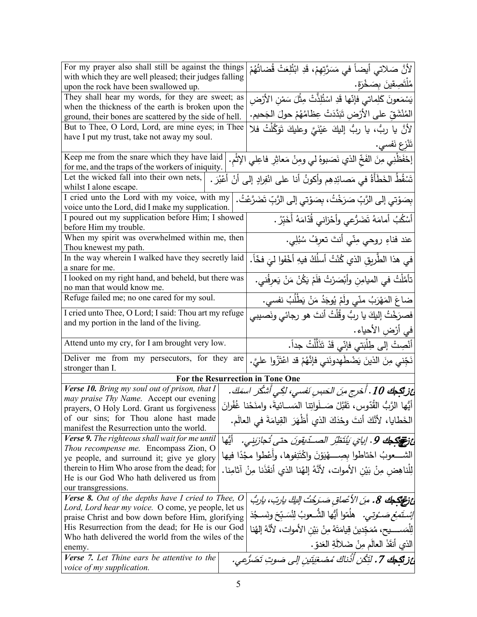| For my prayer also shall still be against the things                                                           |  | لأَنَّ صَلاتي أيضاً في مَسَرَّتِهِمْ، قَدِ ابْتُلِعَتْ قُضاتُهُمْ                   |
|----------------------------------------------------------------------------------------------------------------|--|-------------------------------------------------------------------------------------|
| with which they are well pleased; their judges falling                                                         |  |                                                                                     |
| upon the rock have been swallowed up.                                                                          |  | مُلْتَصِقِينَ بِصَخْرَةٍ.                                                           |
| They shall hear my words, for they are sweet; as                                                               |  | يَسْمَعونَ كَلِماتي فإنّها قَدِ اسْتُلِذَّتْ مِثْلَ سَمْنِ الأَرْضِ                 |
| when the thickness of the earth is broken upon the<br>ground, their bones are scattered by the side of hell.   |  | المُنْشَقِّ على الأَرْضِ تَبَدَّدَتْ عِظامُهُمْ حولَ الجَحيم.                       |
| But to Thee, O Lord, Lord, are mine eyes; in Thee                                                              |  | لأَنَّ يا ربُّ، يا ربُّ إليكَ عَيْنَيَّ وعليكَ تَوَكَّلْتُ فلا                      |
| have I put my trust, take not away my soul.                                                                    |  | تَنْزِع نَفْسي.                                                                     |
| Keep me from the snare which they have laid                                                                    |  | إِحْفَظْنِي مِنَ الفَخِّ الذي نَصَبوهُ لي ومِنْ مَعاثِرِ فاعِلي الإِثْمِ.           |
| for me, and the traps of the workers of iniquity.<br>Let the wicked fall into their own nets,                  |  |                                                                                     |
| أَعْبُرَ .<br>whilst I alone escape.                                                                           |  | تَسْقُطُ الخَطَأَةُ في مَصائِدِهِم وأكونُ أنا على انْفِرادٍ إلى أنْ                 |
| I cried unto the Lord with my voice, with my                                                                   |  | بِصَوْتِي إلى الرَّبِّ صَرَخْتُ، بِصَوْتِي إلى الرَّبِّ تَضَرَّعْتُ.                |
| voice unto the Lord, did I make my supplication.                                                               |  |                                                                                     |
| I poured out my supplication before Him; I showed<br>before Him my trouble.                                    |  | أَسْكُبُ أَمامَهُ تَضَرُّعي وأَحْزاني قُدّامَهُ أَخَيِّرُ .                         |
| When my spirit was overwhelmed within me, then                                                                 |  | عند فناءِ روحي مِنّي أنتَ تعرِفُ سُبُلِي.                                           |
| Thou knewest my path.                                                                                          |  |                                                                                     |
| In the way wherein I walked have they secretly laid<br>a snare for me.                                         |  | في هذا الطَّريقِ الذي كُنْتُ أسلُكُ فيهِ أخْفَوا ليَ فخّاً.                         |
| I looked on my right hand, and beheld, but there was                                                           |  |                                                                                     |
| no man that would know me.                                                                                     |  | تأمَّلْتُ في الميامِنِ وأَبْصَرْتُ فلَمْ يَكُنْ مَنْ يَعرِفُني.                     |
| Refuge failed me; no one cared for my soul.                                                                    |  | ضاعَ المَهْرَبُ منّي ولَمْ يُوجَدُ مَنْ يَطْلُبُ نفسي.                              |
| I cried unto Thee, O Lord; I said: Thou art my refuge                                                          |  | فصرَخْتُ إليكَ يا ربُّ وقُلْتُ أنتَ هو رجائي ونَصيبي                                |
| and my portion in the land of the living.                                                                      |  |                                                                                     |
|                                                                                                                |  | في أرْضِ الأحياء.                                                                   |
| Attend unto my cry, for I am brought very low.                                                                 |  | أَنْصِتْ إلى طِلْبَتي فَإِنّي قَدْ تَذَلَّلْتُ جداً.                                |
| Deliver me from my persecutors, for they are                                                                   |  | نَجِّني مِنَ الذينَ يَضْطَهِدونَني فإنَّهُمْ قد اعْتَزُّوا عليَّ.                   |
| stronger than I.                                                                                               |  |                                                                                     |
|                                                                                                                |  | For the Resurrection in Tone One                                                    |
| Verse 10. Bring my soul out of prison, that I<br>may praise Thy Name. Accept our evening                       |  | عز تكجك 10 . أخرج منَ الحَبس نَفسى، لكِي أَشكُر اسمَكَ .                            |
| prayers, O Holy Lord. Grant us forgiveness                                                                     |  | أَيُّها الرَّبُّ القُدّوسِ، تَقَبَّلْ صَــلَواتِنا المَســائيةَ، وامنَحْنا غُفْرانَ |
| of our sins; for Thou alone hast made                                                                          |  | الخَطايا، لأَنَّكَ أنتَ وحْدَكَ الذي أَظْهَرَ القِيامَةَ في العالَمِ.               |
| manifest the Resurrection unto the world.                                                                      |  |                                                                                     |
| <b>Verse 9.</b> The righteous shall wait for me until                                                          |  | ئ قَدَّمَ عَلَيْهِ 9 . إيايَ يَنْتَظِرُ الصدّيقونَ حتى تُجازَبِني.     أَيُّها      |
| <i>Thou recompense me.</i> Encompass Zion, O<br>ye people, and surround it; give ye glory                      |  | الشــــعوبُ احْتاطوا بصِـــــهْيَوْنَ واكْتَنِفوها، وأعْطوا مجْدًا فيها             |
| therein to Him Who arose from the dead; for                                                                    |  | لِلْناهِض مِنْ بَيْنِ الأمواتِ، لأَنَّهُ إِلهُنا الذي أَنقَذَنا مِنْ آثامِنا.       |
| He is our God Who hath delivered us from                                                                       |  |                                                                                     |
| our transgressions.                                                                                            |  |                                                                                     |
| Verse 8. Out of the depths have I cried to Thee, O<br>ع قرار الله عنه من الأعماق صَـرَخْتُ اللهِ عاربٌ، باربٌ. |  |                                                                                     |
| Lord, Lord hear my voice. O come, ye people, let us                                                            |  |                                                                                     |
| praise Christ and bow down before Him, glorifying                                                              |  | <i>إِسْتَمِعْ صَــُوتِي.</i> هلَمّوا أَيُّها الشّــعوبُ لِنُسَـبّحَ ونَســجُدَ      |
| His Resurrection from the dead; for He is our God                                                              |  | لِلْمَســـــــيح، مُمَجّدينَ قِيامَتَهُ مِنْ بَيْنِ الأُمواتِ، لأَنَّهُ إِلهُنا     |
| Who hath delivered the world from the wiles of the                                                             |  | الذي أَنقَذَ العالَمِ مِنْ ضَلاَلَةِ الْعَدوِّ.                                     |
| enemy.<br>Verse 7. Let Thine ears be attentive to the                                                          |  |                                                                                     |
| voice of my supplication.                                                                                      |  | غز <b>تَكِيكِ 7 .</b> لَتَكُن أَنْناكَ مُصْغِيَتَين إلى صَوتِ تَضَرَّعي.            |
|                                                                                                                |  |                                                                                     |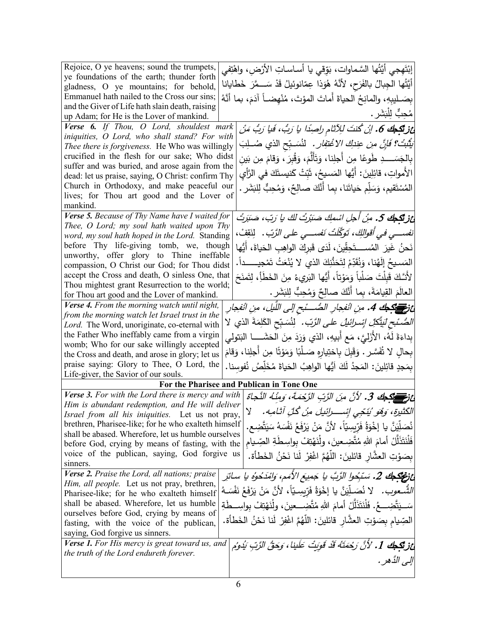| Rejoice, O ye heavens; sound the trumpets,                                                  | إِبْتَهِجى أَيَّتُها السَّماوات، بَوِّقي يا أساساتِ الأرْضِ، واهْتِفي                                |
|---------------------------------------------------------------------------------------------|------------------------------------------------------------------------------------------------------|
| ye foundations of the earth; thunder forth                                                  |                                                                                                      |
| gladness, O ye mountains; for behold,                                                       | أَيَّتُها الجِبالُ بالفَرَحِ، لأنَّهُ هُوَذا عِمّانوئيلُ قَدْ سَـــمَّرَ خَطايانا                    |
| Emmanuel hath nailed to the Cross our sins;                                                 | بِصَــليبِهِ، والمانِحُ الحياةَ أماتَ المؤتَ، مُنْهِضــاً آدَمَ، بما أنَّهُ                          |
| and the Giver of Life hath slain death, raising<br>up Adam; for He is the Lover of mankind. | مُحِبٌّ لِلبَشَرِ .                                                                                  |
| Verse 6. If Thou, O Lord, shouldest mark                                                    |                                                                                                      |
| iniquities, O Lord, who shall stand? For with                                               | ئز <b>تَكِطِهُ 6.</b> إِنْ كُنتَ للِأَتَامِ راصِدًا يا رَبُّ، فَيا رَبُّ مَنْ                        |
| Thee there is forgiveness. He Who was willingly                                             | َيَثْبُتْ؟ فَ <i>إِنَّ مِن عِندِكَ الاغْتِفار .</i> لنُسَبِّحِ الذي صُــلِبَ                         |
| crucified in the flesh for our sake; Who didst                                              | بِالْجَسَـــــدِ طَوعًا مِن أَجلِنا، وَتَأَلَّمَ، وَقُبِرَ ، وَقامَ مِن بَين                         |
| suffer and was buried, and arose again from the                                             |                                                                                                      |
| dead: let us praise, saying, O Christ: confirm Thy                                          | الأمواتِ، قائِلِينَ: أَيُّها المَسيحُ، ثَبِّتْ كَنيستَكَ في الرَّأي                                  |
| Church in Orthodoxy, and make peaceful our                                                  | المُسْتَقيم، وَسَلِّم حَياتَنا، بِما أَنَّكَ صالِحٌ، وَمُحِبٍّ لِلبَشَرِ .                           |
| lives; for Thou art good and the Lover of                                                   |                                                                                                      |
| mankind.                                                                                    |                                                                                                      |
| Verse 5. Because of Thy Name have I waited for                                              | ئز تَكِطِك 5. مِنْ أَجْلِ اسْمِكَ صَبَرْتُ لَكَ يا رَبّ، صَبَرَتْ                                    |
| Thee, O Lord; my soul hath waited upon Thy                                                  | نفســـى فـى أقوالكَ، تَوَكَّلْتُ نَفســـى علـى الرَّبّ.    لِذَقِفْ،                                 |
| word, my soul hath hoped in the Lord. Standing                                              |                                                                                                      |
| before Thy life-giving tomb, we, though<br>unworthy, offer glory to Thine ineffable         | نَحنُ غَيرَ المُســــتَحِقِّينَ، لَدَى قَبركَ الواهِبِ الحَياةَ، أَيُّها                             |
| compassion, O Christ our God; for Thou didst                                                | المَسيحُ إِلَهُنا، وَنُقَدِّمْ لِتَحَنُّنِكَ الذي لا يُنْعَتُ تَمْجِيـــــداً.                       |
| accept the Cross and death, O sinless One, that                                             | لأَنَّكَ قَبِلْتَ صَلْباً وَمَوْتاً، أَيُّها البَريءُ مِنَ الخَطَأِ، لِتَمنَحَ                       |
| Thou mightest grant Resurrection to the world;                                              |                                                                                                      |
| for Thou art good and the Lover of mankind.                                                 | العالَمَ القِيامَةَ، بِما أَنَّكَ صالِحٌ وَمُحِبٌّ لِلبَشَرِ .                                       |
| <b>Verse 4.</b> From the morning watch until night,                                         | عْ فَ <del>عَمَانَا عَمَلِ</del> 4. مِنِ الْنَفِجارِ الصَّـــْبِحِ الِـى اللَّيلِ ، مِنِ الْنَفِجارِ |
| from the morning watch let Israel trust in the                                              |                                                                                                      |
| Lord. The Word, unoriginate, co-eternal with                                                | الصُّبْحِ لَيَتَّكِلُّ ابٍْسرائيلُ على الرَّبّ.   لِنُسَبِّحِ الكَلِمَةَ الذي لا                     |
| the Father Who ineffably came from a virgin                                                 | بِداءَةَ لَهُ، الأَزَلِيَّ، مَعِ أَبِيهِ، الذي وَرَدَ مِنَ الْحَشَــــا البَتولِي                    |
| womb; Who for our sake willingly accepted                                                   | بِحالِ لا تُفَسَّـر . وَقَبِلَ بِاختِيارِهِ صَـلَّبًا وَمَوْتًا مِن أَجلِنا، وَقامَ                  |
| the Cross and death, and arose in glory; let us                                             |                                                                                                      |
| praise saying: Glory to Thee, O Lord, the<br>Life-giver, the Savior of our souls.           | بمَجدٍ قائِلينَ: المَجدُ لَكَ اَيُّها الواهِبُ الحَياةَ مُخَلِّصُ نُفوسنا.                           |
|                                                                                             | For the Pharisee and Publican in Tone One                                                            |
| Verse 3. For with the Lord there is mercy and with                                          |                                                                                                      |
| Him is abundant redemption, and He will deliver                                             | عْ فَرَ مِنْ مِنْ الرَّبِ الرَّبِّ الرَّحْمَةَ، وَمِنْهُ النَّجَاةَ                                  |
| Israel from all his iniquities. Let us not pray,                                            | الكَثيرة، وَهُو يُنَجِّي إِسْتِرائِيلَ مِنْ كُلِّ آثامِه.                                            |
| brethren, Pharisee-like; for he who exalteth himself                                        | نُصَلِّيَنَّ يا إِخْوَةُ فَرِّيسِيّاً، لأَنَّ مَنْ يَرْفَعُ نَفْسَهُ سَيَتَّضِع.                     |
| shall be abased. Wherefore, let us humble ourselves                                         |                                                                                                      |
| before God, crying by means of fasting, with the                                            | فَلْنَتَذَلَّلْ أمامَ اللهِ مُتَّضِعينَ، ولِّنَهْتِفْ بِواسِطَةِ الصِّيام                            |
| voice of the publican, saying, God forgive us                                               | بِصَوْتِ العشَّارِ قائلينَ: اللَّهُمَّ اغْفِرْ لَنا نَحْنُ الخَطأة.                                  |
| sinners.                                                                                    |                                                                                                      |
| <b>Verse 2.</b> Praise the Lord, all nations; praise                                        | ل <b>ئزغَّكِجُكَ 2.</b> سَبِّحوا الزَّبَّ يا جَمِيعَ الأَمَم، وَلِمْدَحُوهُ يا سائرِ                 |
| <i>Him, all people.</i> Let us not pray, brethren,                                          | <i>الشُّـعوب.</i> لا نُصَـلِّيَنَّ يا إخْوَةُ فَرِّسِـيّاً، لأنَّ مَنْ يَرْفَعُ نَفْسَـهُ            |
| Pharisee-like; for he who exalteth himself                                                  |                                                                                                      |
| shall be abased. Wherefore, let us humble                                                   | سَـــيَتَّضِــــعُ. فَلْنَتَذَلْلْ أَمامَ اللهِ مُتَّضِــــعينَ، ولْنَهْتِفْ بواسِـــطَةِ            |
| ourselves before God, crying by means of                                                    | الصِّيام بِصَوْتِ العشَّارِ قائلينَ: اللَّهُمَّ اغْفِرْ لَنا نَحْنُ الخَطأة.                         |
| fasting, with the voice of the publican,<br>saying, God forgive us sinners.                 |                                                                                                      |
| <b>Verse 1.</b> For His mercy is great toward us, and                                       | عْزِ تَكْجُ 1. لأَنَّ رَحْمَتَهُ قَدْ قَوِيتُ عَلَينا ، وَحَقُّ الرَّبِّ يَدُومُ                     |
| the truth of the Lord endureth forever.                                                     |                                                                                                      |
|                                                                                             | إلى الدَّهر .                                                                                        |
|                                                                                             |                                                                                                      |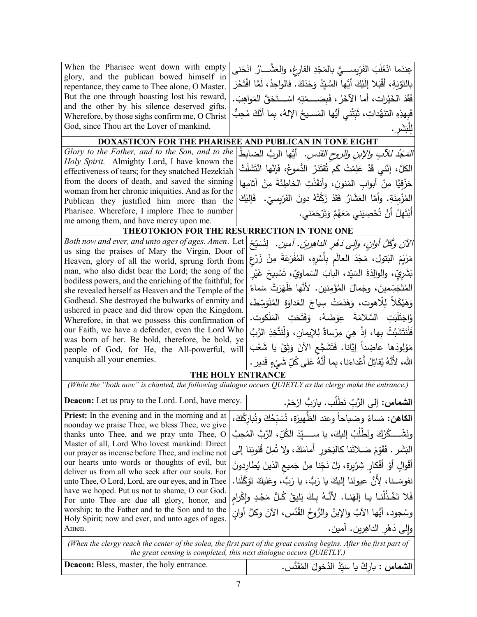| When the Pharisee went down with empty<br>glory, and the publican bowed himself in                                                                                                         | عِندَما انْغَلَبَ الفَرِّيســـيُّ بالمَجْدِ الفارِغ، والعَشَّـــارُ انْحَنـى<br>بالتَوْبَةِ، أَقْبَلا إِلَيْكَ أَيُّها السَّيّدُ وَحْدَكَ. فالواحِدُ، لَمَّا افْتَخَرَ |  |
|--------------------------------------------------------------------------------------------------------------------------------------------------------------------------------------------|------------------------------------------------------------------------------------------------------------------------------------------------------------------------|--|
| repentance, they came to Thee alone, O Master.                                                                                                                                             |                                                                                                                                                                        |  |
| But the one through boasting lost his reward,<br>and the other by his silence deserved gifts.                                                                                              | فَقَدَ الخَيْرات، أما الآخَرُ ، فَبِصَــــمْتِهِ اسْــــتَحَقَّ المَواهِبَ.                                                                                            |  |
| Wherefore, by those sighs confirm me, O Christ                                                                                                                                             | فَبِهِذِهِ التَّهُّداتِ، ثَبِّتْني أَيُّها المَسـيحُ الإِلهُ، بِما أَنَّكَ مُحِبٍّ                                                                                     |  |
| God, since Thou art the Lover of mankind.                                                                                                                                                  | لِلْبَشْرِ .                                                                                                                                                           |  |
|                                                                                                                                                                                            | <b>DOXASTICON FOR THE PHARISEE AND PUBLICAN IN TONE EIGHT</b>                                                                                                          |  |
| Glory to the Father, and to the Son, and to the                                                                                                                                            | <i>القَجْدُ للآبِ والإبنِ والروح القدَسِ.</i> أيُّها الربُّ الضابطُ                                                                                                    |  |
| Holy Spirit. Almighty Lord, I have known the                                                                                                                                               |                                                                                                                                                                        |  |
| effectiveness of tears; for they snatched Hezekiah                                                                                                                                         | الكلَّ ، إنّنـى قَدْ عَلِمْتُ كَم تُقتَدَرُ الدُّموعُ، فَإِنَّها انْتَشَلَتْ                                                                                           |  |
| from the doors of death, and saved the sinning                                                                                                                                             | حَزْقيًّا مِنْ أبوابِ المَنونِ، وأَنقَذَتِ الْخاطِئَةَ مِنْ آثامِها                                                                                                    |  |
| woman from her chronic iniquities. And as for the<br>Publican they justified him more than the                                                                                             | المُزْمِنَةِ. وأمَّا العَشّارُ فَقَدْ زَكَّتْهُ دونَ الفَرّيسيِّ. ۖ فَإِلَيْكَ                                                                                         |  |
| Pharisee. Wherefore, I implore Thee to number                                                                                                                                              |                                                                                                                                                                        |  |
| me among them, and have mercy upon me.                                                                                                                                                     | أَبْتَهِلُ أَنْ تُحْصِيَنِي مَعَهُمْ وَتَرْحَمَني.                                                                                                                     |  |
|                                                                                                                                                                                            | THEOTOKION FOR THE RESURRECTION IN TONE ONE                                                                                                                            |  |
| Both now and ever, and unto ages of ages. Amen. Let                                                                                                                                        | الآنَ وكُلَّ أُوانِ، وإلى دَهْرِ الداهِرِينَ. آمين.   لِنُسَبِّحْ                                                                                                      |  |
| us sing the praises of Mary the Virgin, Door of<br>Heaven, glory of all the world, sprung forth from                                                                                       | مَرْيَمَ البَتول، مَجْدَ العالَم بِأَسْرِهِ، المُفْرَعَةَ مِنْ زَرْعِ                                                                                                  |  |
| man, who also didst bear the Lord; the song of the                                                                                                                                         | بَشَرِيٍّ، والوالِدَةَ السَيِّد، البابَ السَماوِيِّ، تَسْبِيحَ غَيْر                                                                                                   |  |
| bodiless powers, and the enriching of the faithful; for                                                                                                                                    | المُتَجَسِّمينَ، وجَمالَ المُؤْمِنينِ. لأنَّها ظَهَرَتْ سَماءً                                                                                                         |  |
| she revealed herself as Heaven and the Temple of the<br>Godhead. She destroyed the bulwarks of enmity and                                                                                  |                                                                                                                                                                        |  |
| ushered in peace and did throw open the Kingdom.                                                                                                                                           | وَهَيْكَلاً لِلَّاهوت، وَهَدَمَتْ سِياجَ الْعَداوَةِ الْمُتَوَسِّطْ،                                                                                                   |  |
| Wherefore, in that we possess this confirmation of                                                                                                                                         | وْلِجَتَلَبَتِ   السَّلامَةَ   عِوَضَهُ،   وَفَتَحَتِ   المَلَكوت.                                                                                                     |  |
| our Faith, we have a defender, even the Lord Who                                                                                                                                           | فَلْنَتَشَبَّتْ بِها، إذْ هِيَ مِرْساةٌ لِلإِيمانِ، وَلْنَتَّخِذِ الرَّبَّ                                                                                             |  |
| was born of her. Be bold, therefore, be bold, ye                                                                                                                                           | مَوْلِودَها عاضِداً إِيَّانا. فَتَشَجَّعِ الآنَ وَثِقْ يا شَعْبَ                                                                                                       |  |
| people of God, for He, the All-powerful, will                                                                                                                                              |                                                                                                                                                                        |  |
| vanquish all your enemies.                                                                                                                                                                 | الله، لأَنَّهُ يُقاتِلُ أَعْداءَنا، بما أَنَّهُ عَلى كُلِّ شَيْءٍ قَديرٍ .                                                                                             |  |
|                                                                                                                                                                                            | THE HOLY ENTRANCE                                                                                                                                                      |  |
|                                                                                                                                                                                            | (While the "both now" is chanted, the following dialogue occurs QUIETLY as the clergy make the entrance.)                                                              |  |
| <b>Deacon:</b> Let us pray to the Lord. Lord, have mercy.                                                                                                                                  | ا <b>لشماس:</b> إلى الرَّبِّ نَطْلُب. يارَبُّ ارْحَمْ.                                                                                                                 |  |
| <b>Priest:</b> In the evening and in the morning and at<br>noonday we praise Thee, we bless Thee, we give                                                                                  | ا <b>لكاهن:</b> مَساءً وصَباحاً وعند الظّهيرَة، نُسَبّحُكَ ونُباركُكَ،                                                                                                 |  |
| thanks unto Thee, and we pray unto Thee, O                                                                                                                                                 | ونَشْــــكُرُكَ ونَطْلُبُ إليكَ، يا ســـــيّدَ الكُلّ، الرَّبَّ المُحِبَّ                                                                                              |  |
| Master of all, Lord Who lovest mankind: Direct<br>our prayer as incense before Thee, and incline not                                                                                       | الْبَشَرِ . فَقَوّمْ صَـلاتَنا كالْبَخورِ أَمامَكَ، ولا تُمِلْ قُلوبَنا إلى                                                                                            |  |
| our hearts unto words or thoughts of evil, but                                                                                                                                             | أَقُوالٍ أَوْ أَفْكَارِ شِرِّيرَةٍ، بَلْ نَجِّنا مِنْ جَميعِ الذينَ يُطْارِدونَ                                                                                        |  |
| deliver us from all who seek after our souls. For<br>unto Thee, O Lord, Lord, are our eyes, and in Thee                                                                                    | نفوسَــنا، لِأَنَّ عيونَنا إليكَ يا رَبُّ، يا رَبُّ، وعَليكَ تَوَكَّلْنا.                                                                                              |  |
| have we hoped. Put us not to shame, O our God.                                                                                                                                             | فَلا تَخْذُلْنـا يـا إلهَنـا. لأنَّـهُ بِـكَ يَليقُ كُـلٌ مَجْـدٍ وإكْرام                                                                                              |  |
| For unto Thee are due all glory, honor, and<br>worship: to the Father and to the Son and to the                                                                                            | وسُجود، أَيُّها الآبُ والإبنُ والرُّوحُ الْقُدُسِ، الآنَ وكلَّ أُوان                                                                                                   |  |
| Holy Spirit; now and ever, and unto ages of ages.<br>Amen.                                                                                                                                 | وإلى دَهْرِ الداهِرِينِ. أَمينِ.                                                                                                                                       |  |
|                                                                                                                                                                                            |                                                                                                                                                                        |  |
| (When the clergy reach the center of the solea, the first part of the great censing begins. After the first part of<br>the great censing is completed, this next dialogue occurs QUIETLY.) |                                                                                                                                                                        |  |
| <b>Deacon:</b> Bless, master, the holy entrance.                                                                                                                                           | ا <b>لشماس :</b> باركْ يا سَيّدُ الدُخولَ المُقَدَّس.                                                                                                                  |  |
|                                                                                                                                                                                            |                                                                                                                                                                        |  |

7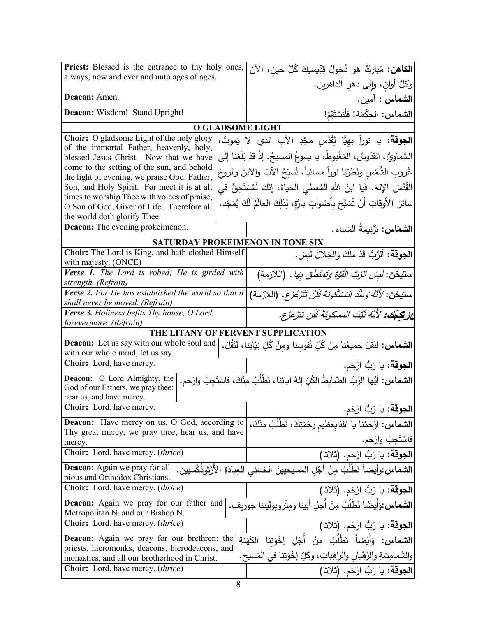| <b>Priest:</b> Blessed is the entrance to thy holy ones,                                                                              |  | ا <b>لكاهن:</b> مُباركٌ هو دُخولُ قِدِّيسيكَ كُلَّ حينِ، الآنَ                                |
|---------------------------------------------------------------------------------------------------------------------------------------|--|-----------------------------------------------------------------------------------------------|
| always, now and ever and unto ages of ages.                                                                                           |  |                                                                                               |
|                                                                                                                                       |  | وكلَّ أُوانِ، وإلى دهرِ الداهرين.                                                             |
| Deacon: Amen.                                                                                                                         |  | الشماس : آمين.                                                                                |
| Deacon: Wisdom! Stand Upright!                                                                                                        |  | الشماس: الحِكْمَة! فلْنَسْتَقِمْ!                                                             |
|                                                                                                                                       |  | <b>O GLADSOME LIGHT</b>                                                                       |
| Choir: O gladsome Light of the holy glory                                                                                             |  |                                                                                               |
| of the immortal Father, heavenly, holy,                                                                                               |  | ا <b>لجوقة:</b> يا نوراً بهيًّا لِقُدْس مَجْدِ الآبِ الذي لا يَموتُ،                          |
| blessed Jesus Christ. Now that we have                                                                                                |  | السَّماويُّ، القدّوسُ، المَغْبوطُ، يا يسوعُ المسيحُ. إذْ قدْ بَلَغنا إلى                      |
| come to the setting of the sun, and behold                                                                                            |  | غُروبِ الشَّمْسِ ونَظرْنا نوراً مسائياً، نُسبِّحُ الآبَ والابنَ والروحَ                       |
| the light of evening, we praise God: Father,<br>Son, and Holy Spirit. For meet it is at all                                           |  | القُدُسَ الإِلهَ. فَيا ابنَ اللهِ المُعطى الحياةَ، إِنَّكَ لَمُسْتَحِقٌّ في                   |
| times to worship Thee with voices of praise,                                                                                          |  |                                                                                               |
| O Son of God, Giver of Life. Therefore all                                                                                            |  | سائرَ  الأوقاتِ  أَنْ  تُسَبَّحَ بِأَصْواتٍ بارَّةٍ، لِذلِكَ  العالَمُ لَكَ  يُمَجِّد.        |
| the world doth glorify Thee.                                                                                                          |  |                                                                                               |
| <b>Deacon:</b> The evening prokeimenon.                                                                                               |  | ا <b>لشمّاس:</b> تَرْنِيمَةُ المَساء.                                                         |
|                                                                                                                                       |  |                                                                                               |
|                                                                                                                                       |  | SATURDAY PROKEIMENON IN TONE SIX                                                              |
| Choir: The Lord is King, and hath clothed Himself                                                                                     |  | ا <b>لجوقة:</b> اَلرَّبُّ قَدْ مَلَكَ وَالجَلالَ لَبِسَ.                                      |
| with majesty. (ONCE)<br>Verse 1. The Lord is robed; He is girded with                                                                 |  |                                                                                               |
| strength. (Refrain)                                                                                                                   |  | س <b>تيخن</b> : <i>لَسِِّن الرَّبُّ الْقَوَّةَ وَتَمَنْطُقَ بِهَا</i> . (اللازمة)             |
| Verse 2. For He has established the world so that it                                                                                  |  |                                                                                               |
| shall never be moved. (Refrain)                                                                                                       |  | <b>ستيغَن:</b> <i>لأَنَّهُ وَطَّدَ المَسْكُونَةَ فَلَنْ تَتَزَعْزَع.</i> (اللازمة)            |
| Verse 3. Holiness befits Thy house, O Lord,                                                                                           |  | <mark>غز تكجّك: 'لأَنَّهُ ثَبَّتَ المَسكونَةَ فَلَن تَتَزَعَزَع.</mark>                       |
| forevermore. (Refrain)                                                                                                                |  |                                                                                               |
|                                                                                                                                       |  | THE LITANY OF FERVENT SUPPLICATION                                                            |
| Deacon: Let us say with our whole soul and                                                                                            |  | ا <b>لشماس:</b> لِنَقُلْ جَميعُنا مِنُ كُلِّ نُفومِنا ومِنْ كُلِّ نِيَاتِنا، لِنَقُلْ.        |
| with our whole mind, let us say.                                                                                                      |  |                                                                                               |
| <b>Choir:</b> Lord, have mercy.                                                                                                       |  | ا <b>لجوقة:</b> يا رَبُّ ارْحَم.                                                              |
| ا <b>لشماس:</b> أيُّها الرَّبُّ الضَّابِطُ الكُلِّ إلهُ آبائِنا، نَطْلُبُ مِنْكَ، فاسْتَجِبْ وارْحَم.<br>Deacon: O Lord Almighty, the |  |                                                                                               |
| God of our Fathers, we pray thee:                                                                                                     |  |                                                                                               |
| hear us, and have mercy.                                                                                                              |  |                                                                                               |
| Choir: Lord, have mercy.                                                                                                              |  | <b>الجوقة:</b> يا رَبُّ ارْحَم.                                                               |
| <b>Deacon:</b> Have mercy on us, O God, according to                                                                                  |  | ال <b>شماس:</b> ارْحَمْنا يا اللهُ بِعَظيم رَحْمَتِكَ، نَطْلُبُ مِنْكَ،                       |
| Thy great mercy, we pray thee, hear us, and have                                                                                      |  |                                                                                               |
| mercy.<br>Choir: Lord, have mercy. (thrice)                                                                                           |  | فاسْتَجِبْ وارْحَم.<br>ا <b>لجوقة:</b> يا رَبُّ ارْحَم. (ثلاثا)                               |
|                                                                                                                                       |  |                                                                                               |
| Deacon: Again we pray for all<br>pious and Orthodox Christians.                                                                       |  | ا <b>لشماس:</b> وأيضاً نَطْلَبُ مِنْ أَجْلِ المَسيحيينَ الحَسَني العِبادَةِ الأَرْثوذَكْسيين. |
| <b>Choir:</b> Lord, have mercy. <i>(thrice)</i>                                                                                       |  | ا <b>لجوقة:</b> يا رَبُّ ارْحَم. (ثلاثا)                                                      |
|                                                                                                                                       |  |                                                                                               |
| Deacon: Again we pray for our father and<br>Metropolitan N. and our Bishop N.                                                         |  | الشماس:وَأَيضَا نَطْلُبُ مِنْ أَجلِ أبينا ومِتْروبوليتنا جوزيف.                               |
| <b>Choir:</b> Lord, have mercy. <i>(thrice)</i><br>ا <b>لجوقة:</b> يا رَبُّ ارْحَم. (ثلاثا)                                           |  |                                                                                               |
| <b>Deacon:</b> Again we pray for our brethren: the<br><b>الشماس:</b> وَأَيْضاً نَطْلُبُ مِنْ أَجْلٍ إِخْوَتِنا الْكَهَنةِ             |  |                                                                                               |
| priests, hieromonks, deacons, hierodeacons, and                                                                                       |  |                                                                                               |
| والشَمامِسَةِ والرُّهْبانِ والراهِباتِ، وكُلِّ إخْوَتِنا في المَسيحِ.<br>monastics, and all our brotherhood in Christ.                |  |                                                                                               |
| <b>Choir:</b> Lord, have mercy. <i>(thrice)</i>                                                                                       |  | ا <b>لجوقة:</b> يا رَبُّ ارْحَم. (ثلاثا)                                                      |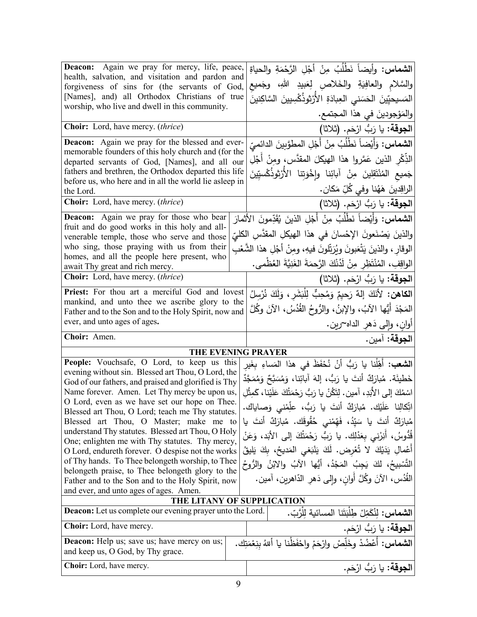| Deacon: Again we pray for mercy, life, peace,<br>health, salvation, and visitation and pardon and<br>forgiveness of sins for (the servants of God,<br>[Names], and) all Orthodox Christians of true<br>worship, who live and dwell in this community.                                                                                                                                                                                                                                                                                                                                                                                                                                                                        |  | ا <b>لشماس:</b> وأيضاً نَطْلُبُ مِنْ أَجْلِ الرَّحْمَةِ والحياةِ<br>والسَّلام والعافِيَةِ والخَلاص لِعَبيدِ اللهِ، وجَميع<br>المَسيحيِّينَ الحَسَني العِبادَةِ الأَرْثوذُكْسِيينَ السَّاكِنينَ<br>والمَوْجودينَ في هذا المجتمع.                                                                                                                                                                                                                                                                                                                                                                                                                          |  |
|------------------------------------------------------------------------------------------------------------------------------------------------------------------------------------------------------------------------------------------------------------------------------------------------------------------------------------------------------------------------------------------------------------------------------------------------------------------------------------------------------------------------------------------------------------------------------------------------------------------------------------------------------------------------------------------------------------------------------|--|----------------------------------------------------------------------------------------------------------------------------------------------------------------------------------------------------------------------------------------------------------------------------------------------------------------------------------------------------------------------------------------------------------------------------------------------------------------------------------------------------------------------------------------------------------------------------------------------------------------------------------------------------------|--|
| <b>Choir:</b> Lord, have mercy. <i>(thrice)</i>                                                                                                                                                                                                                                                                                                                                                                                                                                                                                                                                                                                                                                                                              |  | الجوقة: يا رَبُّ ارْحَم. (ثلاثا)                                                                                                                                                                                                                                                                                                                                                                                                                                                                                                                                                                                                                         |  |
| <b>Deacon:</b> Again we pray for the blessed and ever-<br>memorable founders of this holy church and (for the<br>departed servants of God, [Names], and all our<br>fathers and brethren, the Orthodox departed this life<br>before us, who here and in all the world lie asleep in<br>the Lord.<br>Choir: Lord, have mercy. (thrice)<br><b>Deacon:</b> Again we pray for those who bear<br>fruit and do good works in this holy and all-<br>venerable temple, those who serve and those                                                                                                                                                                                                                                      |  | ا <b>لشماس:</b> وَأَيْضاً نَطْلُبُ مِنْ أَجْلِ المطوَّبِينَ الدائميِّ<br>الذِّكْرِ الذينِ عَمَّروا هذا الهيكلَ المقدَّس، ومنْ أَجْلِ<br>جَميع المُنْتَقِلينَ مِنْ آبائِنا وإِخْوَتِنا الأَرْثوذُكُسيِّينَ<br>الراقِدينَ هَهُنا وفي كُلِّ مَكان.<br>ا <b>لجوقة:</b> يا رَبُّ ارْحَم. (ثلاثا)<br>ا <b>لشماس:</b> وَأَيْضاً نَطْلُبُ مِنْ أَجْلِ الذينَ يُقَدِّمونَ الأَثمارَ<br>والذينَ يَصْنَعونَ الإحْسانَ في هذا الهيكلِ المقدَّسِ الكليِّ                                                                                                                                                                                                              |  |
| who sing, those praying with us from their<br>homes, and all the people here present, who                                                                                                                                                                                                                                                                                                                                                                                                                                                                                                                                                                                                                                    |  | الوقار ، والذينَ يَتْعَبونَ ويُرَتِّلونَ فيهِ، ومنْ أَجْلِ هذا الشَّعْبِ                                                                                                                                                                                                                                                                                                                                                                                                                                                                                                                                                                                 |  |
| await Thy great and rich mercy.                                                                                                                                                                                                                                                                                                                                                                                                                                                                                                                                                                                                                                                                                              |  | الواقِفِ، المُنْتَظِرِ مِنْ لَذُنْكَ الرَّحمَةَ الغَنِيَّةَ العُظْمى.                                                                                                                                                                                                                                                                                                                                                                                                                                                                                                                                                                                    |  |
| Choir: Lord, have mercy. (thrice)                                                                                                                                                                                                                                                                                                                                                                                                                                                                                                                                                                                                                                                                                            |  | ا <b>لجوقة:</b> يا رَبُّ ارْحَم. (ثلاثا)                                                                                                                                                                                                                                                                                                                                                                                                                                                                                                                                                                                                                 |  |
| Priest: For thou art a merciful God and lovest<br>mankind, and unto thee we ascribe glory to the<br>Father and to the Son and to the Holy Spirit, now and<br>ever, and unto ages of ages.                                                                                                                                                                                                                                                                                                                                                                                                                                                                                                                                    |  | ا <b>لكاهن:</b> لأَنَكَ إلهٌ رَحيِّمٌ وَمُحِبٍّّ لِلْبَشَر ، وَلَكَ نُرْس <i>لُ</i><br>المَجْدَ أَيُّها الآبُ، والإبنُ، والرُّوحُ القُدُسُ، الآنَ وكُلَّ<br>أوان، وإلى دَهر الداه~رين.                                                                                                                                                                                                                                                                                                                                                                                                                                                                   |  |
| Choir: Amen.                                                                                                                                                                                                                                                                                                                                                                                                                                                                                                                                                                                                                                                                                                                 |  | ا <b>لجوقة:</b> آمين.                                                                                                                                                                                                                                                                                                                                                                                                                                                                                                                                                                                                                                    |  |
| THE EVENING PRAYER                                                                                                                                                                                                                                                                                                                                                                                                                                                                                                                                                                                                                                                                                                           |  |                                                                                                                                                                                                                                                                                                                                                                                                                                                                                                                                                                                                                                                          |  |
| People: Vouchsafe, O Lord, to keep us this<br>evening without sin. Blessed art Thou, O Lord, the<br>God of our fathers, and praised and glorified is Thy<br>Name forever. Amen. Let Thy mercy be upon us,<br>O Lord, even as we have set our hope on Thee.<br>Blessed art Thou, O Lord; teach me Thy statutes.<br>Blessed art Thou, O Master; make me to<br>understand Thy statutes. Blessed art Thou, O Holy<br>One; enlighten me with Thy statutes. Thy mercy,<br>O Lord, endureth forever. O despise not the works<br>of Thy hands. To Thee belongeth worship, to Thee<br>belongeth praise, to Thee belongeth glory to the<br>Father and to the Son and to the Holy Spirit, now<br>and ever, and unto ages of ages. Amen. |  | ا <b>لشعب:</b> أَهِّلْنا يا رَبُّ أَنْ نُحْفَظَ في هذا المَساءِ بغَير<br>خَطيئَة. مُبارَكٌ أنتَ يا رَبُّ، إلهَ آبائِنا، وَمُسَبَّحٌ وَمُمَجَّدٌ<br>اسْمُكَ إلى الأَبَدِ، آمين. لِتَكُنْ يا رَبُّ رَحْمَتُكَ عَلَيْنا، كَمِثْلِ<br>اتِّكالِنا عَلَيْك. مُبارَكٌ أنتَ يا رَبُّ، علِّمْني وَصاياك<br>مُبارَكٌ أَنتَ يا سَيِّدُ، فَهّمْني خُقُوقَك. مُبارَكٌ أَنتَ يا<br>قُدُّوسُ، أُنِرْني بِعَدْلِك. يا رَبُّ رَحْمَتُكَ إِلى الأَبَد، وَعَنْ<br>أَعْمالِ يَدَيْكَ لا تُعْرِض. لَكَ يَنْبَغي المَديحُ، بِكَ يَلِيقُ<br>التَّسْبِيحُ، لَكَ يَجِبُ المَجْدُ، أَيُّها الآبُ والآبْنُ والرُّوحُ<br>القُدُس، الآنَ وكُلَّ أُوانِ، وإِلى دَهرِ الدّاهريِن، آمين. |  |
| THE LITANY OF SUPPLICATION<br>Deacon: Let us complete our evening prayer unto the Lord.                                                                                                                                                                                                                                                                                                                                                                                                                                                                                                                                                                                                                                      |  |                                                                                                                                                                                                                                                                                                                                                                                                                                                                                                                                                                                                                                                          |  |
|                                                                                                                                                                                                                                                                                                                                                                                                                                                                                                                                                                                                                                                                                                                              |  | ا <b>لشماس:</b> لِنُكَمِّلْ طِلْبَتَنا المسائية لِلَرَّبّ.                                                                                                                                                                                                                                                                                                                                                                                                                                                                                                                                                                                               |  |
| Choir: Lord, have mercy.                                                                                                                                                                                                                                                                                                                                                                                                                                                                                                                                                                                                                                                                                                     |  | ا <b>لجوقة:</b> يا رَبُّ ارْحَم.                                                                                                                                                                                                                                                                                                                                                                                                                                                                                                                                                                                                                         |  |
| <b>Deacon:</b> Help us; save us; have mercy on us;<br>and keep us, O God, by Thy grace.                                                                                                                                                                                                                                                                                                                                                                                                                                                                                                                                                                                                                                      |  | ا <b>لشماس:</b> أَعْضُدْ وخَلِّصْ وارْحَمْ واحْفَظْنا يا أللهُ بنِعْمَتِك.                                                                                                                                                                                                                                                                                                                                                                                                                                                                                                                                                                               |  |
| <b>Choir:</b> Lord, have mercy.                                                                                                                                                                                                                                                                                                                                                                                                                                                                                                                                                                                                                                                                                              |  | ا <b>لجوقة:</b> يا رَبُّ ارْحَم.                                                                                                                                                                                                                                                                                                                                                                                                                                                                                                                                                                                                                         |  |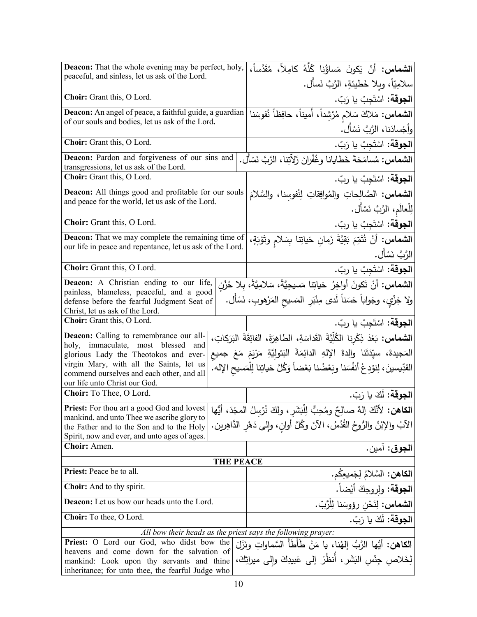| <b>Deacon:</b> That the whole evening may be perfect, holy,                                              | ا <b>لشماس:</b> أَنْ يَكونَ مَساؤُنا كُلُّهُ كامِلاً، مُقَدَّساً،                                                          |
|----------------------------------------------------------------------------------------------------------|----------------------------------------------------------------------------------------------------------------------------|
| peaceful, and sinless, let us ask of the Lord.                                                           | سلامِيّاً، وبِلا خَطيئةٍ، الرَّبَّ نَسأَل.                                                                                 |
| Choir: Grant this, O Lord.                                                                               | ا <b>لجوقة:</b> اسْتَجِبْ يا رَبّ.                                                                                         |
| <b>Deacon:</b> An angel of peace, a faithful guide, a guardian                                           | ا <b>لشماس:</b> مَلاكَ سَلامِ مُرْشِداً، أَميناً، حافِظاً نُفوسَناً                                                        |
| of our souls and bodies, let us ask of the Lord.                                                         | وأجْسادَنا، الرَّبَّ نَسْأَل.                                                                                              |
| Choir: Grant this, O Lord.                                                                               | <b>الجوقة:</b> اسْتَجِبْ يا رَبّ.                                                                                          |
| Deacon: Pardon and forgiveness of our sins and                                                           | ا <b>لشماس</b> : مُسامَحَةَ خَطايانا وغُفْرانَ زَلِاّتِنا، الرَّبَّ نَسْأَل.                                               |
| transgressions, let us ask of the Lord.                                                                  |                                                                                                                            |
| Choir: Grant this, O Lord.                                                                               | ا <b>لجوقة:</b> اسْتَجِبْ يا ربّ.                                                                                          |
| Deacon: All things good and profitable for our souls<br>and peace for the world, let us ask of the Lord. | الشماس: الصَّالِحاتِ والمُوافِقاتِ لِنُفوسنا، والسَّلامَ                                                                   |
|                                                                                                          | لِلْعالَمِ، الرَّبَّ نَسْأَلْ.                                                                                             |
| Choir: Grant this, O Lord.                                                                               | ا <b>لجوقة:</b> اسْتَجِبْ يا ربّ.                                                                                          |
| Deacon: That we may complete the remaining time of                                                       | <b>الشماس:</b> أَنْ نُتَمِّمَ بَقِيَّةَ زَمانِ حَياتِنا بِسَلامٍ وتَوْبَةٍ،                                                |
| our life in peace and repentance, let us ask of the Lord.                                                | الرَّبَّ نَسْأَل.                                                                                                          |
| Choir: Grant this, O Lord.                                                                               | ا <b>لجوقة:</b> اسْتَجِبْ يا ربّ.                                                                                          |
| <b>Deacon:</b> A Christian ending to our life,                                                           | <b>الشماس:</b> أنْ تَكونَ أواخِرُ حَياتِنا مَسيحِيَّةً، سَلامِيَّةً، بِلا خُزْنٍ                                           |
| painless, blameless, peaceful, and a good                                                                | ولا خِزْي، وجَواباً حَسَناً لَدى مِنْبَرِ  المَسيح المَرْهوبِ، نَسْأَل.                                                    |
| defense before the fearful Judgment Seat of<br>Christ, let us ask of the Lord.                           |                                                                                                                            |
| Choir: Grant this, O Lord.                                                                               | ا <b>لجوقة:</b> اسْتَجِبْ يا ربّ.                                                                                          |
| <b>Deacon:</b> Calling to remembrance our all-                                                           | ا <b>لشماس:</b> بَعْدَ ذِكْرِنا الكُلِّيَّةَ القَداسَةِ، الطاهِرَةَ، الفائِقَةَ البَرَكاتِ،                                |
| holy, immaculate, most blessed and<br>glorious Lady the Theotokos and ever-                              | المَجيدةَ، سيِّدَتَنا والِدةَ الإِلهِ الدائِمَةَ البَتولِيَّةِ مَرْيَمَ مَعَ جميع                                          |
| virgin Mary, with all the Saints, let us                                                                 | القدِّيسينَ، لِنوْدِعْ أنفُسَنا وبَعْضُنا بَعْضاً وَكُلَّ حَياتِنا لِلْمَسيحِ الإله.                                       |
| commend ourselves and each other, and all<br>our life unto Christ our God.                               |                                                                                                                            |
| Choir: To Thee, O Lord.                                                                                  | ا <b>لجوقة:</b> لَكَ يا رَبّ.                                                                                              |
|                                                                                                          | الكاهن: لأنَّكَ إلهٌ صالِحٌ ومُحِبٌّ لِلْبَشَرِ ، ولكَ نُرْسِلُ المجْدَ، أيُّها Priest: For thou art a good God and lovest |
| mankind, and unto Thee we ascribe glory to                                                               | الآبُ والإِبْنُ والرُّوحُ القُدُسُ، الآنَ وكُلَّ أوانِ، وإلى دَهْرِ الدَّاهِرينِ.                                          |
| the Father and to the Son and to the Holy<br>Spirit, now and ever, and unto ages of ages.                |                                                                                                                            |
| Choir: Amen.                                                                                             | الجوق: آمين.                                                                                                               |
|                                                                                                          | <b>THE PEACE</b>                                                                                                           |
| Priest: Peace be to all.                                                                                 | الكاهن: السَّلامُ لِجَميعِكُم.                                                                                             |
| Choir: And to thy spirit.                                                                                | ا <b>لجوقة</b> : ولروحِكَ أَيْضاً                                                                                          |
| <b>Deacon:</b> Let us bow our heads unto the Lord.                                                       | ا <b>لشماس:</b> لِنَحْنِ رؤوسَنا لِلْرَّبّ.                                                                                |
| Choir: To thee, O Lord.                                                                                  | ا <b>لجوقة:</b> لَكَ يا رَبّ.                                                                                              |
|                                                                                                          | All bow their heads as the priest says the following prayer:                                                               |
| Priest: O Lord our God, who didst bow the                                                                | ا <b>لكاهن:</b> أَيُّها الرَّبُّ إلهُنا، يا مَنْ طَأَطَأَ السَّماواتِ ونَزَلَ                                              |
| heavens and come down for the salvation of<br>mankind: Look upon thy servants and thine                  | .<br>لِخَلاص جنْس البَشَر ، أُنظُرْ إلى عَبيدِكَ وإلى ميراثِكَ،                                                            |
| inheritance; for unto thee, the fearful Judge who                                                        |                                                                                                                            |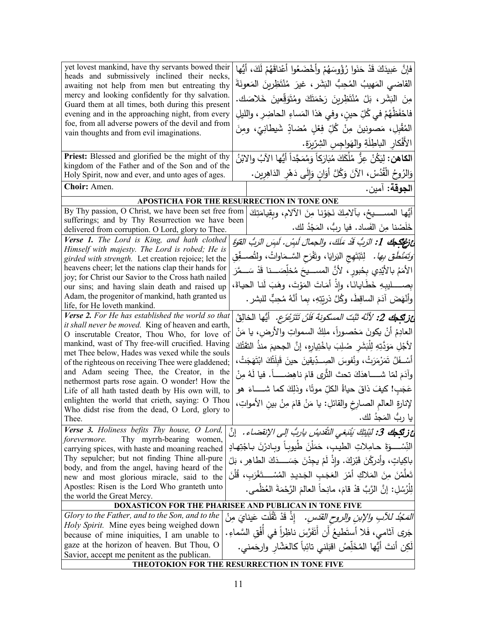| yet lovest mankind, have thy servants bowed their                                                          | فَإِنَّ عَبِيدَكَ قَدْ حَنَوا رُؤُوسَهُمْ وأَخْضَعُوا أَعْناقَهُمْ لَكَ، أَيُّها               |
|------------------------------------------------------------------------------------------------------------|------------------------------------------------------------------------------------------------|
| heads and submissively inclined their necks,<br>awaiting not help from men but entreating thy              | القاضى المَهيبُ المُحِبُّ البَشَرِ ، غيرَ مُنْتَظِرِينَ المَعونَةَ                             |
| mercy and looking confidently for thy salvation.                                                           | مِنَ البَشَرِ، بَلْ مُنْتَظِرِينَ رَحْمَتَكَ وِمُتَوَقِّعِينَ خَلاصَك.                         |
| Guard them at all times, both during this present                                                          |                                                                                                |
| evening and in the approaching night, from every<br>foe, from all adverse powers of the devil and from     | فاحْفَظْهُمْ في كُلِّ حين، وفي هَذا المَساءِ الحاضِر ، والليلِ                                 |
| vain thoughts and from evil imaginations.                                                                  | الْمُقْبِلِ، مَصونينَ مِنْ كُلِّ فِعْلِ مُضادٍّ شَيطَانِيِّ، ومِنَ                             |
|                                                                                                            | الأَفْكار الباطِلَةِ والهَواجِسِ الشِرّيرَةِ.                                                  |
| Priest: Blessed and glorified be the might of thy                                                          | ا <b>لكاهن:</b> لِيَكُنْ عِزٌ مُلْكَكَ مُبَارَكاً وَمُمَجَّداً أَيُّها الآبُ والابْنُ          |
| kingdom of the Father and of the Son and of the                                                            | وَالرُوحُ الْقُدُسْ، الآنَ وَكُلَّ أَوَانِ وَإِلَى دَهْرِ الذَاهِرِين.                         |
| Holy Spirit, now and ever, and unto ages of ages.<br>Choir: Amen.                                          |                                                                                                |
|                                                                                                            | ا <b>لجوقة:</b> آمين.                                                                          |
|                                                                                                            | APOSTICHA FOR THE RESURRECTION IN TONE ONE                                                     |
| By Thy passion, O Christ, we have been set free from<br>sufferings; and by Thy Resurrection we have been   | أَيُّها المســــيحُ، بألامِكَ نَجَوْنا مِنَ الآلام، وبِقِيامَتِكَ                              |
| delivered from corruption. O Lord, glory to Thee.                                                          | خَلَصْنا مِنَ الفَساد. فيا رِبٌ، المَجْدُ لك.                                                  |
| Verse 1. The Lord is King, and hath clothed                                                                | <b>ئ زغِّكجُك 1:</b> الرَبُّ قَدْ مَلَكَ، والجمالَ لَبِسْ. لَبِسَ الرَبُّ القَوَّةِ            |
| Himself with majesty. The Lord is robed; He is                                                             | <i>ُوَتَمَنْطُقَ بِهَا.</i> لِتَبْتَهِج الْبَرايَا، وتَفْرَح السَّــمَاواتُ، ولِتُصـــفِّقِ    |
| girded with strength. Let creation rejoice; let the<br>heavens cheer; let the nations clap their hands for |                                                                                                |
| joy; for Christ our Savior to the Cross hath nailed                                                        | الأَمَمُ بالأَيْدِي بِحُبورٍ ، لأنَّ المســــيحَ مُخلِّصَـــنا قَدْ سَـــمَّرَ                 |
| our sins; and having slain death and raised up                                                             | بِصــــــليبِهِ خَطَايــانَـا، وإِذْ أَمَـاتَ المَوْتَ، وهَبَ لَنـا الحيـاةَ،                  |
| Adam, the progenitor of mankind, hath granted us                                                           | وأَنْهَضَ آدَمَ الساقِطَ، وكُلَّ ذريّتِهِ، بما أنَّهُ مُحِبٌّ للبشر .                          |
| life, for He loveth mankind.                                                                               |                                                                                                |
| Verse 2. For He has established the world so that<br>it shall never be moved. King of heaven and earth,    | <i>غز <b>تَكِـبُّكَ 2:</b> لأَنَّهُ ثَبَّتَ المسكونةَ فَلَنْ تَتَزَعْزَع.</i> أَيُّها الخالِقُ |
| O inscrutable Creator, Thou Who, for love of                                                               | العادِمُ أَنْ يكونَ مَحْصوراً، ملِكُ السمواتِ والأرضِ، يا مَنْ                                 |
| mankind, wast of Thy free-will crucified. Having                                                           | لأَجْلِ مَوَدَّتِهِ لِلْبَشَرِ ۖ صُلِبَ باخْتِيارِهِ، إنَّ الجحيمَ منذُ التَّقَتْكَ            |
| met Thee below, Hades was vexed while the souls                                                            | أَسْــفَلُ تَمَرْمَرَتْ، ونُفوسَ الصِـــدِّيقينَ حينَ قَبِلَتْكَ ابْتَهَجَتْ،                  |
| of the righteous on receiving Thee were gladdened;<br>and Adam seeing Thee, the Creator, in the            |                                                                                                |
| nethermost parts rose again. O wonder! How the                                                             | وآدَمَ لمّا شــــــاهدَكَ نحتَ الثُّرى قامَ ناهِضـــــــأ. فيا لَهُ مِنْ                       |
| Life of all hath tasted death by His own will, to                                                          | عَجَبٍ! كيفَ ذاقَ حياةُ الكلِّ موتًا، وذلِكَ كما شــــــاءَ هو                                 |
| enlighten the world that crieth, saying: O Thou                                                            | لإنارةِ العالم الصـارِخ والقائلِ: يا مَنْ قامَ مِنْ بينِ الأمواتِ،                             |
| Who didst rise from the dead, O Lord, glory to<br>Thee.                                                    | يا ربُّ المَجدُ لك.                                                                            |
| Verse 3. Holiness befits Thy house, O Lord,                                                                | عُ <b>زِيْكِكَ 3:</b> لَبُنِيَكَ يَنْبَغي التَّقْدِيسُ يارِبُّ إِلَى الإِنْقَضاءِ . ۚ إِنَّ    |
| forevermore.<br>Thy myrrh-bearing women,                                                                   |                                                                                                |
| carrying spices, with haste and moaning reached                                                            | النِّسْــــوَةَ حـامِلاتِ الطيب، حَمَلْنَ طُيوباً وبـادرْنَ بـاجْتِهـادِ                       |
| Thy sepulcher; but not finding Thine all-pure                                                              | باكِياتٍ، وأدركْنَ قَبْرَكَ. وإذْ لَمْ يجِدْنَ جَسَـــدَكَ الطاهِرِ ، بَلْ                     |
| body, and from the angel, having heard of the<br>new and most glorious miracle, said to the                | تَعلَّمْنَ مِنَ المَلاكِ أَمْرَ العَجَبِ الجَديدِ المُسْـــتَغْرَبٍ، قُلْنَ                    |
| Apostles: Risen is the Lord Who granteth unto                                                              | لِلْرُسُلِ: إِنَّ الرَّبَّ قَدْ قامَ، مانِحاً العالمَ الرَّحْمَةَ العُظْمي.                    |
| the world the Great Mercy.                                                                                 |                                                                                                |
|                                                                                                            | <b>DOXASTICON FOR THE PHARISEE AND PUBLICAN IN TONE FIVE</b>                                   |
| Glory to the Father, and to the Son, and to the                                                            | <i>المَجْدُ للآبِ والإبن والروح القَدَس.</i> إذْ قَدْ نَقْلَت عَيناىَ مِنْ                     |
| Holy Spirit. Mine eyes being weighed down                                                                  | جَرِي آثامي، فَلا أستَطيعُ أَن أَتَفَرَّسَ ناظِراً في أَفْقِ السَّماءِ.                        |
| because of mine iniquities, I am unable to<br>gaze at the horizon of heaven. But Thou, O                   |                                                                                                |
| Savior, accept me penitent as the publican.                                                                | لَكِن أنتَ أَيُّها المُخَلِّصُ اقبَلني تائِباً كالعَشَّار واِرحَمني.                           |
|                                                                                                            | THEOTOKION FOR THE RESURRECTION IN TONE FIVE                                                   |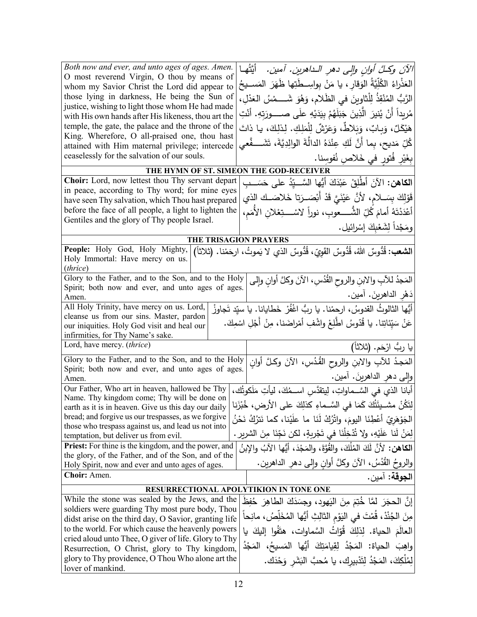| Both now and ever, and unto ages of ages. Amen.                                                            | الآنَ وكلَّ أوانِ وإلى دهرِ الـداهرينِ. آمين.   أيَّتُها                                     |
|------------------------------------------------------------------------------------------------------------|----------------------------------------------------------------------------------------------|
| O most reverend Virgin, O thou by means of<br>whom my Savior Christ the Lord did appear to                 | العَذْراءُ الكُلِّيَّةُ الوَقارِ ، يا مَنْ بِواسِـطَتِها ظَهَرَ المَســيحُ                   |
| those lying in darkness, He being the Sun of                                                               | الرَّبُّ المُنْقِذُ لِلْثاوِينَ في الظَّلامِ، وَهُوَ شَـــمْسُ العَذْلِ،                     |
| justice, wishing to light those whom He had made                                                           |                                                                                              |
| with His own hands after His likeness, thou art the                                                        | مُريداً أَنْ يُنيرَ  الَّذِينَ جَبَلَهُمْ بِيَدَيْهِ علَى صــــورَتِهِ. أَنْتِ               |
| temple, the gate, the palace and the throne of the<br>King. Wherefore, O all-praised one, thou hast        | هَيْكَلٌ، وَبِـابٌ، وَبَـلاطٌ، وَعَرْشٌ لِلْمَلِكِ. لِـذَلِكَ، يـا ذاتَ                      |
| attained with Him maternal privilege; intercede                                                            | كُلِّ مَديح، بِما أنَّ لَكِ عِنْدَهُ الدالَّةَ الوالِدِيَّةَ، تَشَـــفَّعى                   |
| ceaselessly for the salvation of our souls.                                                                | بِغَيْرِ فُتورٍ في خَلاصٍ نُفوسِنا.                                                          |
|                                                                                                            | THE HYMN OF ST. SIMEON THE GOD-RECEIVER                                                      |
| Choir: Lord, now lettest thou Thy servant depart                                                           | ا <b>لكاهن:</b> الآنَ أطْلِقْ عَبْدَكَ أَيُّها السَّــيِّدُ على حَسَــبِ                     |
| in peace, according to Thy word; for mine eyes                                                             | قَوْلِكَ بِسَــلام، لأَنَّ عَيْنَيَّ قَدْ أَبْصَــرَتا خَلاصَــك الذي                        |
| have seen Thy salvation, which Thou hast prepared<br>before the face of all people, a light to lighten the |                                                                                              |
| Gentiles and the glory of Thy people Israel.                                                               | أَعْدَدْتَهُ أَمامَ كُلِّ الشُّـــــعوبِ، نوراً لاسْــــتِعْلانِ الأَمَمِ،                   |
|                                                                                                            | ومَجْداً لِشَعْبِكَ إِسْرائيل.                                                               |
| People: Holy God, Holy Mighty,                                                                             | THE TRISAGION PRAYERS                                                                        |
| Holy Immortal: Have mercy on us.                                                                           | ا <b>لشعب:</b> قُدُوسٌ اللهُ، قُدُوسٌ القَوِيِّ، قُدُّوسٌ الذي لا يَموتُ، ارحَمْنا. (ثلاثاً) |
| (thrice)                                                                                                   |                                                                                              |
| Glory to the Father, and to the Son, and to the Holy                                                       | المَجدُ للآبِ والابنِ والروحِ القُدُسِ، الآنَ وكلَّ أوانِ وإِلى                              |
| Spirit; both now and ever, and unto ages of ages.<br>Amen.                                                 | دَهْرِ الداهرينَ. آمين.                                                                      |
| All Holy Trinity, have mercy on us. Lord,                                                                  | أَيُّها الثالوثُ القدوسُ، ارحمْنا. يا ربُّ اغْفُرْ خَطايانا. يا سيِّد تَجاوزْ                |
| cleanse us from our sins. Master, pardon                                                                   | عَنْ سَيِّئاتِنا. يا قُدّوسُ اطَّلِعْ واشْفِ أَمْراضَنا، مِنْ أَجْلِ اسْمِكَ.                |
| our iniquities. Holy God visit and heal our<br>infirmities, for Thy Name's sake.                           |                                                                                              |
| Lord, have mercy. (thrice)                                                                                 | يا ربُّ ارْحَم. (ثلاثاً)                                                                     |
| Glory to the Father, and to the Son, and to the Holy                                                       | المَجِدُ للأَبِ والابنِ والروحِ القُدُسِ، الآنَ وكلَّ أوانِ                                  |
| Spirit; both now and ever, and unto ages of ages.                                                          |                                                                                              |
| Amen.                                                                                                      | وإِلى دهرِ الداهرينَ. أمين.                                                                  |
| Our Father, Who art in heaven, hallowed be Thy<br>Name. Thy kingdom come; Thy will be done on              | أبانا الذي في السَّــماواتِ، لِيتقدَّس اســـمُكَ، ليأتِ مَلَكوتُك،                           |
| earth as it is in heaven. Give us this day our daily                                                       | لِتَكُنْ مشــيئَتُكَ كَمَا في السَّــماءِ كذلِكَ على الأرضِ، خُبْزَنا                        |
| bread; and forgive us our trespasses, as we forgive                                                        | الْجَوْهَرِيِّ أَعْطِنَا اليومَ، واتْرُكْ لَنَا ما عِلَيْنا، كما نَترُكُ نَحْنُ              |
| those who trespass against us, and lead us not into<br>temptation, but deliver us from evil.               | لِمَنْ لَنا عَلَيْهِ، ولا تُذْخِلْنَا في تَجْرِبِةٍ، لكن نَجِّنَا مِنَ الشريرِ .             |
| <b>Priest:</b> For thine is the kingdom, and the power, and                                                | الكاهن: لأنَّ لَكَ المُلْكَ، والقُوَّةَ، والمَجْدَ، أَيُّها الآبُ والإِبنُ                   |
| the glory, of the Father, and of the Son, and of the                                                       |                                                                                              |
| Holy Spirit, now and ever and unto ages of ages.                                                           | والروحُ القُدُسُ، الآنَ وكلَّ أوانٍ والى دهرِ الداهرين.                                      |
| Choir: Amen.                                                                                               | الجوقة: آمين.                                                                                |
|                                                                                                            | RESURRECTIONAL APOLYTIKION IN TONE ONE                                                       |
| While the stone was sealed by the Jews, and the<br>soldiers were guarding Thy most pure body, Thou         | إِنَّ الْحِجَرَ لَمَّا خُتِمَ مِنَ الْيَهودِ، وجِسَدَكَ الطَّاهِرَ حُفِظَ                    |
| didst arise on the third day, O Savior, granting life                                                      | مِنَ الجُنْدْ، قُمْتَ في اليَوْمِ الثالِثِ أَيُّها المُخَلِّصُ، مانِحاً                      |
| to the world. For which cause the heavenly powers                                                          | العالَمَ الحياة. لِذلِكَ قُوّاتُ السَّماوات، هتَفُوا إليكَ يا                                |
| cried aloud unto Thee, O giver of life. Glory to Thy                                                       | واهِبَ الحياة: المَجْدُ لِقِيامَتِكَ أَيُّها المَسيحُ، المَجْدُ                              |
| Resurrection, O Christ, glory to Thy kingdom,<br>glory to Thy providence, O Thou Who alone art the         |                                                                                              |
| lover of mankind.                                                                                          | لِمُلْكِكَ، المَجْدُ لِتَدْبِيرِكَ، يا مُحبَّ البَشَرِ وَحْدَك.                              |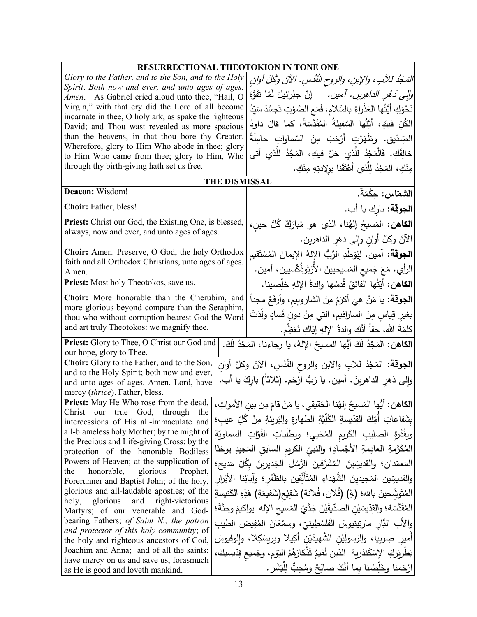| RESURRECTIONAL THEOTOKION IN TONE ONE                                                                   |                      |                                                                                              |  |
|---------------------------------------------------------------------------------------------------------|----------------------|----------------------------------------------------------------------------------------------|--|
| Glory to the Father, and to the Son, and to the Holy                                                    |                      | المَجْدُ للآبِ، والإبنِ، والروحِ القُدُسِ. الآنَ وكُلَّ أُولنِ                               |  |
| Spirit. Both now and ever, and unto ages of ages.<br>Amen. As Gabriel cried aloud unto thee, "Hail, O   |                      | <i>والى دَهْرِ الداهرِين. أمين.</i> إنَّ جِبْرائيلَ لَمَّا تَفَوَّهَ                         |  |
| Virgin," with that cry did the Lord of all become                                                       |                      | نَحْوَكِ أَيَّتُها العَذْراءُ بالسَّلام، فَمَعَ الصَّوْتِ تَجَسَّدَ سَيِّدُ                  |  |
| incarnate in thee, O holy ark, as spake the righteous<br>David; and Thou wast revealed as more spacious |                      | الكُلِّ فيكِ، أَيَّتُها السَّفينَةُ المُقَدَّسَةُ، كما قالَ داودُ                            |  |
| than the heavens, in that thou bore thy Creator.                                                        |                      | الصِّدّيق. وظُهَرْتِ أَرْحَبَ مِنَ السَّماواتِ حامِلَةً                                      |  |
| Wherefore, glory to Him Who abode in thee; glory                                                        |                      | خالِقَكِ. فَالْمَجْدُ للَّذي حَلَّ فيكِ، المَجُدُ للَّذي أتى                                 |  |
| to Him Who came from thee; glory to Him, Who<br>through thy birth-giving hath set us free.              |                      |                                                                                              |  |
|                                                                                                         |                      | مِنْكِ، المَجْدُ لِلَّذي أَعْتَقَنا بولادَتِهِ مِنْكِ.                                       |  |
| Deacon: Wisdom!                                                                                         | <b>THE DISMISSAL</b> | ال <b>شماس:</b> حكْمَةٌ.                                                                     |  |
|                                                                                                         |                      |                                                                                              |  |
| Choir: Father, bless!                                                                                   |                      | ا <b>لجوقة:</b> بارك يا أب.                                                                  |  |
| Priest: Christ our God, the Existing One, is blessed,<br>always, now and ever, and unto ages of ages.   |                      | ا <b>لكاهن:</b> المَسيحُ إلهُنا، الذي هو مُبارَكٌ كُلَّ حينِ،                                |  |
|                                                                                                         |                      | الآنَ وكلَّ أوانِ وإلى دهرِ الداهرين.                                                        |  |
| Choir: Amen. Preserve, O God, the holy Orthodox                                                         |                      | ا <b>لجوقة:</b> آمين. لِيُوَطِّدِ الرَّبُّ الإِلهُ الإِيمانَ المُسْتَقيمَ                    |  |
| faith and all Orthodox Christians, unto ages of ages.<br>Amen.                                          |                      | الرأي، مَعَ جَميع المَسيحيينَ الأَرْثوذُكْسيين، آمين.                                        |  |
| Priest: Most holy Theotokos, save us.                                                                   |                      | ا <b>لكاهن:</b> أَيَتُها الفائقُ قُدسُها والدةُ الإِلهِ خَلِّصينا.                           |  |
| Choir: More honorable than the Cherubim, and                                                            |                      | الجوقة: يا مَنْ هِيَ أكرَمُ مِنَ الشاروبيم، وأرفَعُ مجداً                                    |  |
| more glorious beyond compare than the Seraphim,                                                         |                      | بغيرِ قِياسٍ مِنَ السارافيم، التي مِنْ دونِ فَسادٍ وَلَدَتْ                                  |  |
| thou who without corruption bearest God the Word<br>and art truly Theotokos: we magnify thee.           |                      | كلِمَةَ الله، حقاً أنَّكِ والدةُ اﻹلهِ إيّاكِ نُعَظِّم.                                      |  |
| Priest: Glory to Thee, O Christ our God and                                                             |                      |                                                                                              |  |
| our hope, glory to Thee.                                                                                |                      | ا <b>لكاهن:</b> المَجْدُ لَكَ أَيُّها المسيحُ الإلهُ، يا رجاءَنا، المَجْد <sup>ُ</sup> لَكَ. |  |
| Choir: Glory to the Father, and to the Son,                                                             |                      | ا <b>لجوقة:</b> المَجْدُ للأَبِ والابنِ والروح القُدُسِ، الأنَ وكلَّ أوانِ                   |  |
| and to the Holy Spirit; both now and ever,<br>and unto ages of ages. Amen. Lord, have                   |                      | وإِلى دَهر الداهرينَ. آمين. يا رَبُّ ارْحَم. (ثلاثاً) باركْ يا أب.                           |  |
| mercy (thrice). Father, bless.                                                                          |                      |                                                                                              |  |
| Priest: May He Who rose from the dead,<br>Christ our true God, through the                              |                      | ا <b>لكاهن:</b> أيُّها المَسيحُ إلهُنا الحَقيقي، يا مَنْ قامَ مِن بين الأمواتِ،              |  |
| intercessions of His all-immaculate and                                                                 |                      | بشَفاعاتِ أَمِّكَ القِدّيسةِ الكُلِّيَّةِ الطهارةِ والبَرِيئةِ مِنْ كُلِّ عيبٍ؛              |  |
| all-blameless holy Mother; by the might of                                                              |                      | وبِقُدْرةِ الصليبِ الكَريمِ المُحْييِ؛ وبِطَلَباتِ القُوّاتِ السماويّةِ                      |  |
| the Precious and Life-giving Cross; by the<br>protection of the honorable Bodiless                      |                      | المُكَرَّمةِ العادِمةِ الأجْسادِ؛ والنبيِّ الكَريمِ السابقِ المَجيدِ يوحَنّا                 |  |
| Powers of Heaven; at the supplication of                                                                |                      | المَعمْدان؛ والقديسِّينَ المُشَرَّفِينَ الرُّسُلِ الْجَديرِينَ بِكُلِّ مَديح؛                |  |
| honorable, glorious<br>the<br>Prophet,                                                                  |                      | والقديسِّينَ المَجيدينَ الشُّهَداءِ المُتَأَلِّقينَ بالظَفَرِ ؛ وآبائِنا الأبْرار            |  |
| Forerunner and Baptist John; of the holy,<br>glorious and all-laudable apostles; of the                 |                      | المُتَوَشِّحينَ بالله؛ (بِهِ) (فُلان، فُلانة) شَفِيْع(شَفيعَةِ) هَذِهِ الكَنيسةِ             |  |
| holy, glorious and right-victorious                                                                     |                      |                                                                                              |  |
| Martyrs; of our venerable and God-                                                                      |                      | المُقَدَّسَة؛ والقِدّيسَيْنِ الصدّيقَيْنَ جَدَّيْ المَسيحِ الإِله ۚ يواكيمَ وحنَّةَ؛         |  |
| bearing Fathers; of Saint N., the patron<br>and protector of this holy community; of                    |                      | والأبِ البَّارِ مارتينيوسَ الفَلسْطِينيِّ، وسمْعَانَ المُفِيضِ الطيبِ                        |  |
| the holy and righteous ancestors of God,                                                                |                      | أمير صِربيا، والرَسولَيْن الشَّهيدَيْن أَكِيلا وبريِسْكِلا، وإلوفيوسَ                        |  |
| Joachim and Anna; and of all the saints:                                                                |                      | بَطْرِيَرِكِ الإِسْكَندَرِيةِ ۖ الذينَ نُقيمُ تَذْكارَهُمُ اليَوْمِ، وجَميعِ قِدّيسيكَ،      |  |
| have mercy on us and save us, forasmuch<br>as He is good and loveth mankind.                            |                      | ارْحَمنا وخَلِّصْنا بِما أَنَّكَ صالِحٌ ومُحِبٌّ لِلْبَشَرِ .                                |  |
|                                                                                                         |                      |                                                                                              |  |